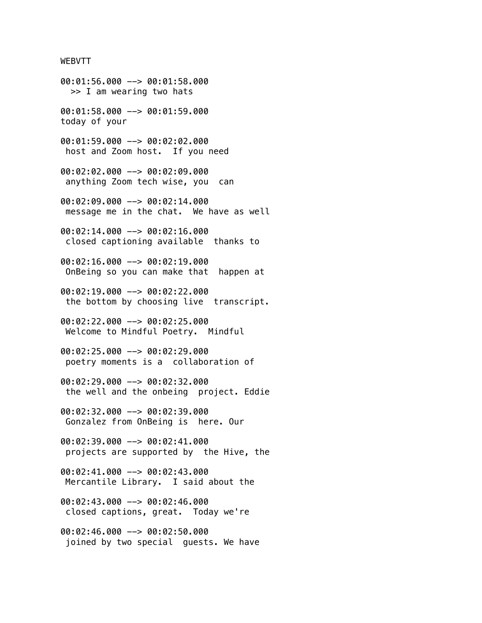## WEBVTT

00:01:56.000 --> 00:01:58.000 >> I am wearing two hats 00:01:58.000 --> 00:01:59.000 today of your 00:01:59.000 --> 00:02:02.000 host and Zoom host. If you need 00:02:02.000 --> 00:02:09.000 anything Zoom tech wise, you can 00:02:09.000 --> 00:02:14.000 message me in the chat. We have as well 00:02:14.000 --> 00:02:16.000 closed captioning available thanks to 00:02:16.000 --> 00:02:19.000 OnBeing so you can make that happen at 00:02:19.000 --> 00:02:22.000 the bottom by choosing live transcript. 00:02:22.000 --> 00:02:25.000 Welcome to Mindful Poetry. Mindful 00:02:25.000 --> 00:02:29.000 poetry moments is a collaboration of 00:02:29.000 --> 00:02:32.000 the well and the onbeing project. Eddie 00:02:32.000 --> 00:02:39.000 Gonzalez from OnBeing is here. Our 00:02:39.000 --> 00:02:41.000 projects are supported by the Hive, the 00:02:41.000 --> 00:02:43.000 Mercantile Library. I said about the 00:02:43.000 --> 00:02:46.000 closed captions, great. Today we're 00:02:46.000 --> 00:02:50.000 joined by two special guests. We have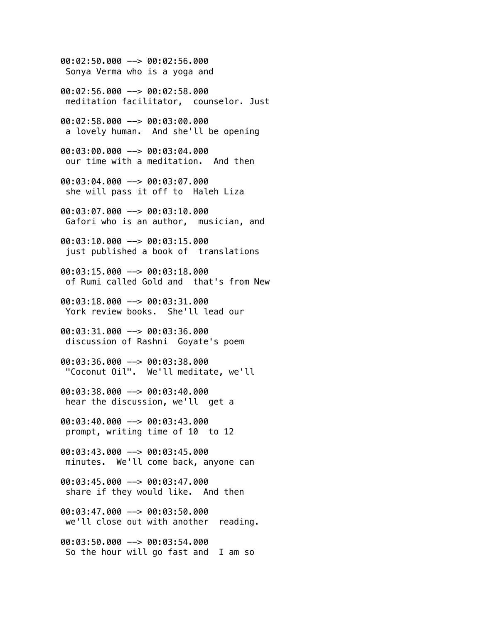00:02:50.000 --> 00:02:56.000 Sonya Verma who is a yoga and 00:02:56.000 --> 00:02:58.000 meditation facilitator, counselor. Just 00:02:58.000 --> 00:03:00.000 a lovely human. And she'll be opening 00:03:00.000 --> 00:03:04.000 our time with a meditation. And then 00:03:04.000 --> 00:03:07.000 she will pass it off to Haleh Liza 00:03:07.000 --> 00:03:10.000 Gafori who is an author, musician, and 00:03:10.000 --> 00:03:15.000 just published a book of translations 00:03:15.000 --> 00:03:18.000 of Rumi called Gold and that's from New 00:03:18.000 --> 00:03:31.000 York review books. She'll lead our 00:03:31.000 --> 00:03:36.000 discussion of Rashni Goyate's poem 00:03:36.000 --> 00:03:38.000 "Coconut Oil". We'll meditate, we'll 00:03:38.000 --> 00:03:40.000 hear the discussion, we'll get a 00:03:40.000 --> 00:03:43.000 prompt, writing time of 10 to 12 00:03:43.000 --> 00:03:45.000 minutes. We'll come back, anyone can 00:03:45.000 --> 00:03:47.000 share if they would like. And then 00:03:47.000 --> 00:03:50.000 we'll close out with another reading. 00:03:50.000 --> 00:03:54.000 So the hour will go fast and I am so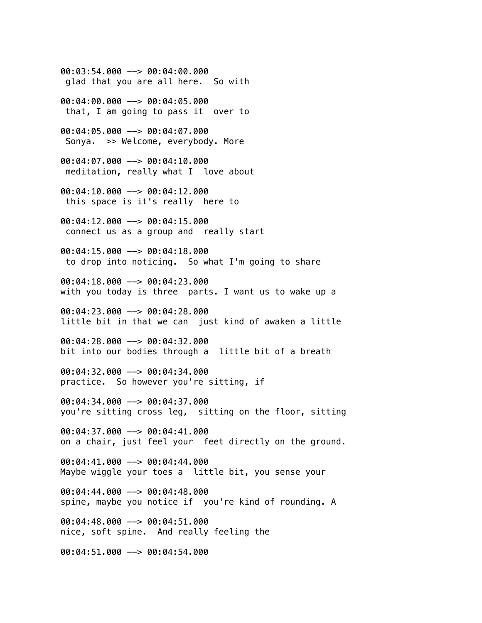00:03:54.000 --> 00:04:00.000 glad that you are all here. So with

00:04:00.000 --> 00:04:05.000 that, I am going to pass it over to

00:04:05.000 --> 00:04:07.000 Sonya. >> Welcome, everybody. More

00:04:07.000 --> 00:04:10.000 meditation, really what I love about

00:04:10.000 --> 00:04:12.000 this space is it's really here to

00:04:12.000 --> 00:04:15.000 connect us as a group and really start

00:04:15.000 --> 00:04:18.000 to drop into noticing. So what I'm going to share

00:04:18.000 --> 00:04:23.000 with you today is three parts. I want us to wake up a

00:04:23.000 --> 00:04:28.000 little bit in that we can just kind of awaken a little

00:04:28.000 --> 00:04:32.000 bit into our bodies through a little bit of a breath

00:04:32.000 --> 00:04:34.000 practice. So however you're sitting, if

00:04:34.000 --> 00:04:37.000 you're sitting cross leg, sitting on the floor, sitting

00:04:37.000 --> 00:04:41.000 on a chair, just feel your feet directly on the ground.

00:04:41.000 --> 00:04:44.000 Maybe wiggle your toes a little bit, you sense your

00:04:44.000 --> 00:04:48.000 spine, maybe you notice if you're kind of rounding. A

00:04:48.000 --> 00:04:51.000 nice, soft spine. And really feeling the

00:04:51.000 --> 00:04:54.000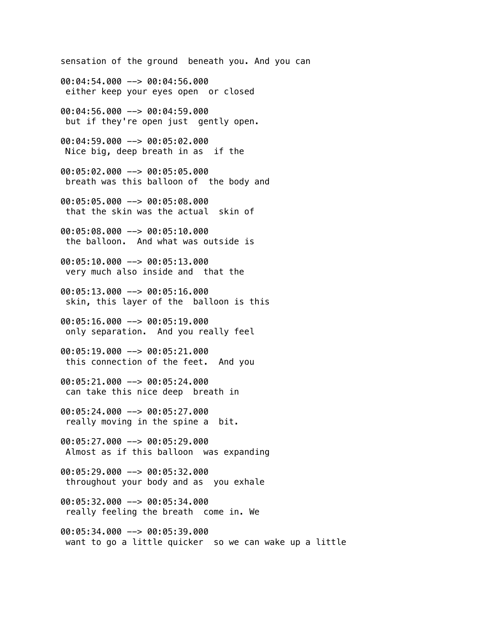sensation of the ground beneath you. And you can 00:04:54.000 --> 00:04:56.000 either keep your eyes open or closed 00:04:56.000 --> 00:04:59.000 but if they're open just gently open. 00:04:59.000 --> 00:05:02.000 Nice big, deep breath in as if the 00:05:02.000 --> 00:05:05.000 breath was this balloon of the body and 00:05:05.000 --> 00:05:08.000 that the skin was the actual skin of 00:05:08.000 --> 00:05:10.000 the balloon. And what was outside is 00:05:10.000 --> 00:05:13.000 very much also inside and that the 00:05:13.000 --> 00:05:16.000 skin, this layer of the balloon is this 00:05:16.000 --> 00:05:19.000 only separation. And you really feel 00:05:19.000 --> 00:05:21.000 this connection of the feet. And you 00:05:21.000 --> 00:05:24.000 can take this nice deep breath in 00:05:24.000 --> 00:05:27.000 really moving in the spine a bit. 00:05:27.000 --> 00:05:29.000 Almost as if this balloon was expanding 00:05:29.000 --> 00:05:32.000 throughout your body and as you exhale 00:05:32.000 --> 00:05:34.000 really feeling the breath come in. We 00:05:34.000 --> 00:05:39.000 want to go a little quicker so we can wake up a little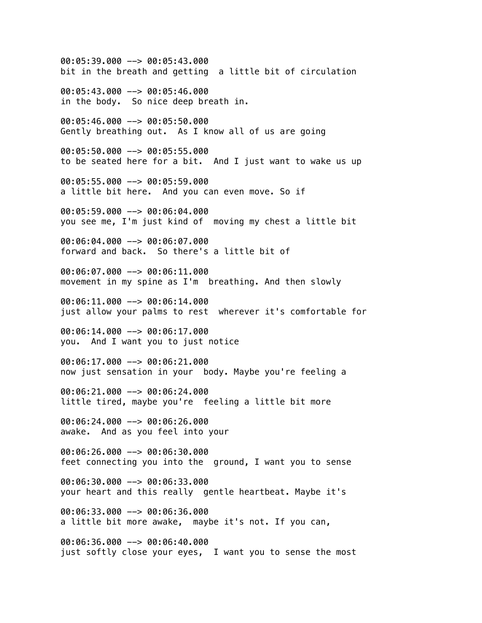00:05:39.000 --> 00:05:43.000 bit in the breath and getting a little bit of circulation 00:05:43.000 --> 00:05:46.000 in the body. So nice deep breath in. 00:05:46.000 --> 00:05:50.000 Gently breathing out. As I know all of us are going 00:05:50.000 --> 00:05:55.000 to be seated here for a bit. And I just want to wake us up 00:05:55.000 --> 00:05:59.000 a little bit here. And you can even move. So if 00:05:59.000 --> 00:06:04.000 you see me, I'm just kind of moving my chest a little bit 00:06:04.000 --> 00:06:07.000 forward and back. So there's a little bit of 00:06:07.000 --> 00:06:11.000 movement in my spine as I'm breathing. And then slowly 00:06:11.000 --> 00:06:14.000 just allow your palms to rest wherever it's comfortable for 00:06:14.000 --> 00:06:17.000 you. And I want you to just notice 00:06:17.000 --> 00:06:21.000 now just sensation in your body. Maybe you're feeling a 00:06:21.000 --> 00:06:24.000 little tired, maybe you're feeling a little bit more 00:06:24.000 --> 00:06:26.000 awake. And as you feel into your 00:06:26.000 --> 00:06:30.000 feet connecting you into the ground, I want you to sense 00:06:30.000 --> 00:06:33.000 your heart and this really gentle heartbeat. Maybe it's 00:06:33.000 --> 00:06:36.000 a little bit more awake, maybe it's not. If you can, 00:06:36.000 --> 00:06:40.000 just softly close your eyes, I want you to sense the most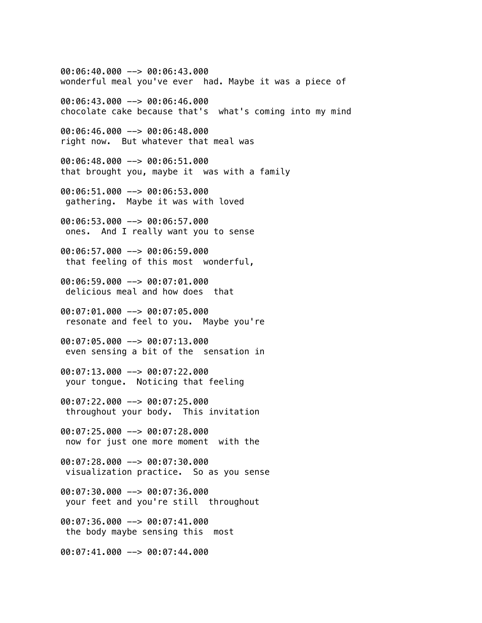00:06:40.000 --> 00:06:43.000 wonderful meal you've ever had. Maybe it was a piece of 00:06:43.000 --> 00:06:46.000 chocolate cake because that's what's coming into my mind 00:06:46.000 --> 00:06:48.000 right now. But whatever that meal was 00:06:48.000 --> 00:06:51.000 that brought you, maybe it was with a family 00:06:51.000 --> 00:06:53.000 gathering. Maybe it was with loved 00:06:53.000 --> 00:06:57.000 ones. And I really want you to sense 00:06:57.000 --> 00:06:59.000 that feeling of this most wonderful, 00:06:59.000 --> 00:07:01.000 delicious meal and how does that 00:07:01.000 --> 00:07:05.000 resonate and feel to you. Maybe you're 00:07:05.000 --> 00:07:13.000 even sensing a bit of the sensation in 00:07:13.000 --> 00:07:22.000 your tongue. Noticing that feeling 00:07:22.000 --> 00:07:25.000 throughout your body. This invitation 00:07:25.000 --> 00:07:28.000 now for just one more moment with the 00:07:28.000 --> 00:07:30.000 visualization practice. So as you sense 00:07:30.000 --> 00:07:36.000 your feet and you're still throughout 00:07:36.000 --> 00:07:41.000 the body maybe sensing this most 00:07:41.000 --> 00:07:44.000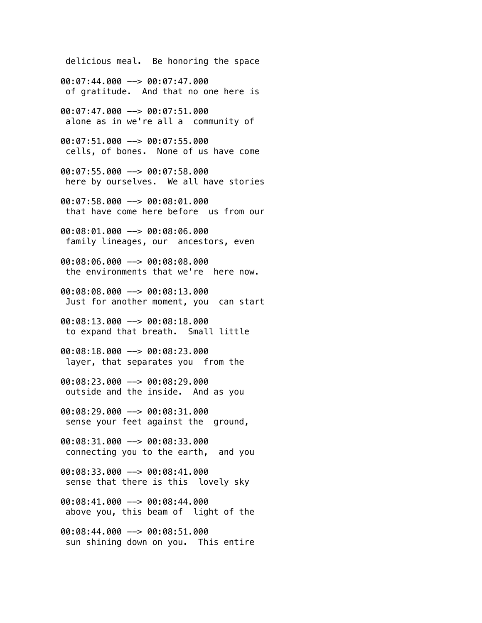delicious meal. Be honoring the space 00:07:44.000 --> 00:07:47.000 of gratitude. And that no one here is 00:07:47.000 --> 00:07:51.000 alone as in we're all a community of 00:07:51.000 --> 00:07:55.000 cells, of bones. None of us have come 00:07:55.000 --> 00:07:58.000 here by ourselves. We all have stories 00:07:58.000 --> 00:08:01.000 that have come here before us from our 00:08:01.000 --> 00:08:06.000 family lineages, our ancestors, even 00:08:06.000 --> 00:08:08.000 the environments that we're here now. 00:08:08.000 --> 00:08:13.000 Just for another moment, you can start 00:08:13.000 --> 00:08:18.000 to expand that breath. Small little 00:08:18.000 --> 00:08:23.000 layer, that separates you from the 00:08:23.000 --> 00:08:29.000 outside and the inside. And as you 00:08:29.000 --> 00:08:31.000 sense your feet against the ground, 00:08:31.000 --> 00:08:33.000 connecting you to the earth, and you 00:08:33.000 --> 00:08:41.000 sense that there is this lovely sky 00:08:41.000 --> 00:08:44.000 above you, this beam of light of the 00:08:44.000 --> 00:08:51.000 sun shining down on you. This entire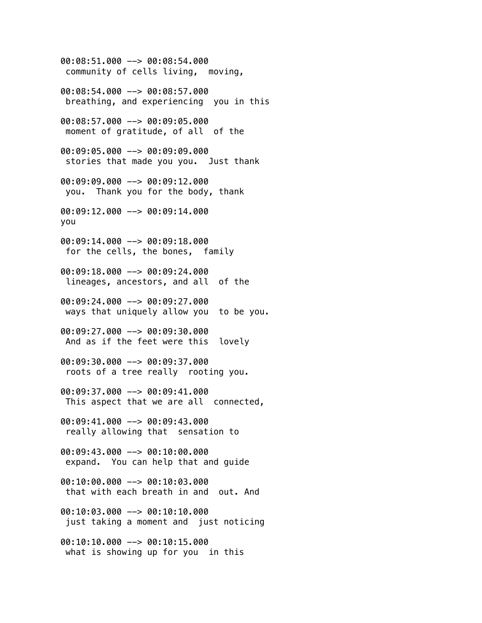00:08:51.000 --> 00:08:54.000 community of cells living, moving,

00:08:54.000 --> 00:08:57.000 breathing, and experiencing you in this

00:08:57.000 --> 00:09:05.000 moment of gratitude, of all of the

00:09:05.000 --> 00:09:09.000 stories that made you you. Just thank

00:09:09.000 --> 00:09:12.000 you. Thank you for the body, thank

00:09:12.000 --> 00:09:14.000 you

00:09:14.000 --> 00:09:18.000 for the cells, the bones, family

00:09:18.000 --> 00:09:24.000 lineages, ancestors, and all of the

00:09:24.000 --> 00:09:27.000 ways that uniquely allow you to be you.

00:09:27.000 --> 00:09:30.000 And as if the feet were this lovely

00:09:30.000 --> 00:09:37.000 roots of a tree really rooting you.

00:09:37.000 --> 00:09:41.000 This aspect that we are all connected,

00:09:41.000 --> 00:09:43.000 really allowing that sensation to

00:09:43.000 --> 00:10:00.000 expand. You can help that and guide

00:10:00.000 --> 00:10:03.000 that with each breath in and out. And

00:10:03.000 --> 00:10:10.000 just taking a moment and just noticing

00:10:10.000 --> 00:10:15.000 what is showing up for you in this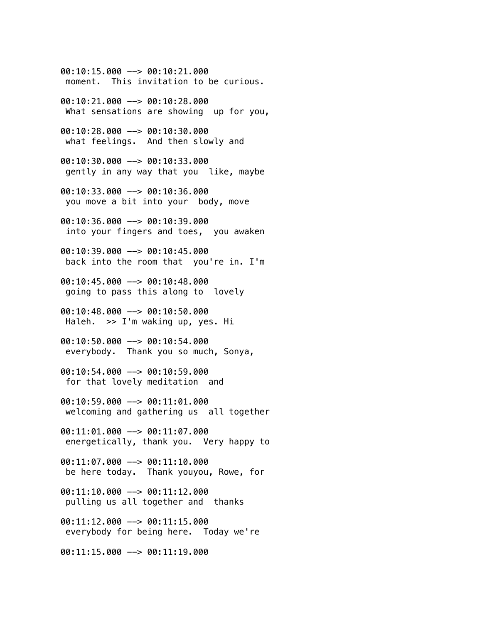00:10:15.000 --> 00:10:21.000 moment. This invitation to be curious.

00:10:21.000 --> 00:10:28.000 What sensations are showing up for you,

00:10:28.000 --> 00:10:30.000 what feelings. And then slowly and

00:10:30.000 --> 00:10:33.000 gently in any way that you like, maybe

00:10:33.000 --> 00:10:36.000 you move a bit into your body, move

00:10:36.000 --> 00:10:39.000 into your fingers and toes, you awaken

00:10:39.000 --> 00:10:45.000 back into the room that you're in. I'm

00:10:45.000 --> 00:10:48.000 going to pass this along to lovely

00:10:48.000 --> 00:10:50.000 Haleh. >> I'm waking up, yes. Hi

00:10:50.000 --> 00:10:54.000 everybody. Thank you so much, Sonya,

00:10:54.000 --> 00:10:59.000 for that lovely meditation and

00:10:59.000 --> 00:11:01.000 welcoming and gathering us all together

00:11:01.000 --> 00:11:07.000 energetically, thank you. Very happy to

00:11:07.000 --> 00:11:10.000 be here today. Thank youyou, Rowe, for

00:11:10.000 --> 00:11:12.000 pulling us all together and thanks

00:11:12.000 --> 00:11:15.000 everybody for being here. Today we're

00:11:15.000 --> 00:11:19.000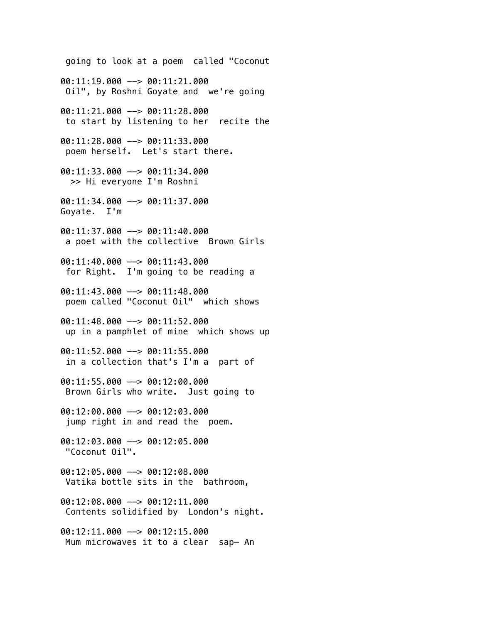going to look at a poem called "Coconut 00:11:19.000 --> 00:11:21.000 Oil", by Roshni Goyate and we're going 00:11:21.000 --> 00:11:28.000 to start by listening to her recite the 00:11:28.000 --> 00:11:33.000 poem herself. Let's start there. 00:11:33.000 --> 00:11:34.000 >> Hi everyone I'm Roshni 00:11:34.000 --> 00:11:37.000 Goyate. I'm 00:11:37.000 --> 00:11:40.000 a poet with the collective Brown Girls 00:11:40.000 --> 00:11:43.000 for Right. I'm going to be reading a 00:11:43.000 --> 00:11:48.000 poem called "Coconut Oil" which shows 00:11:48.000 --> 00:11:52.000 up in a pamphlet of mine which shows up 00:11:52.000 --> 00:11:55.000 in a collection that's I'm a part of 00:11:55.000 --> 00:12:00.000 Brown Girls who write. Just going to 00:12:00.000 --> 00:12:03.000 jump right in and read the poem. 00:12:03.000 --> 00:12:05.000 "Coconut Oil". 00:12:05.000 --> 00:12:08.000 Vatika bottle sits in the bathroom, 00:12:08.000 --> 00:12:11.000 Contents solidified by London's night. 00:12:11.000 --> 00:12:15.000 Mum microwaves it to a clear sap— An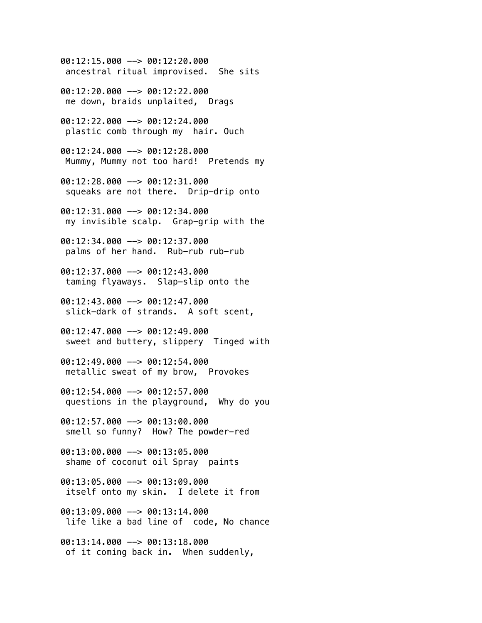00:12:15.000 --> 00:12:20.000 ancestral ritual improvised. She sits 00:12:20.000 --> 00:12:22.000 me down, braids unplaited, Drags 00:12:22.000 --> 00:12:24.000 plastic comb through my hair. Ouch 00:12:24.000 --> 00:12:28.000 Mummy, Mummy not too hard! Pretends my 00:12:28.000 --> 00:12:31.000 squeaks are not there. Drip-drip onto 00:12:31.000 --> 00:12:34.000 my invisible scalp. Grap-grip with the 00:12:34.000 --> 00:12:37.000 palms of her hand. Rub-rub rub-rub  $00:12:37.000$  -->  $00:12:43.000$  taming flyaways. Slap-slip onto the  $0.01:12:43.000$  -->  $0.01:12:47.000$  slick-dark of strands. A soft scent,  $00:12:47.000$  -->  $00:12:49.000$  sweet and buttery, slippery Tinged with 00:12:49.000 --> 00:12:54.000 metallic sweat of my brow, Provokes 00:12:54.000 --> 00:12:57.000 questions in the playground, Why do you 00:12:57.000 --> 00:13:00.000 smell so funny? How? The powder-red 00:13:00.000 --> 00:13:05.000 shame of coconut oil Spray paints 00:13:05.000 --> 00:13:09.000 itself onto my skin. I delete it from 00:13:09.000 --> 00:13:14.000 life like a bad line of code, No chance 00:13:14.000 --> 00:13:18.000 of it coming back in. When suddenly,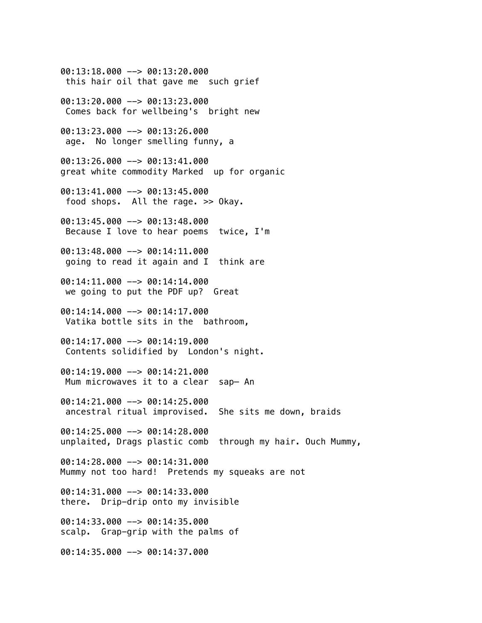00:13:18.000 --> 00:13:20.000 this hair oil that gave me such grief 00:13:20.000 --> 00:13:23.000 Comes back for wellbeing's bright new 00:13:23.000 --> 00:13:26.000 age. No longer smelling funny, a 00:13:26.000 --> 00:13:41.000 great white commodity Marked up for organic 00:13:41.000 --> 00:13:45.000 food shops. All the rage. >> Okay. 00:13:45.000 --> 00:13:48.000 Because I love to hear poems twice, I'm  $00:13:48.000$  -->  $00:14:11.000$  going to read it again and I think are 00:14:11.000 --> 00:14:14.000 we going to put the PDF up? Great 00:14:14.000 --> 00:14:17.000 Vatika bottle sits in the bathroom, 00:14:17.000 --> 00:14:19.000 Contents solidified by London's night. 00:14:19.000 --> 00:14:21.000 Mum microwaves it to a clear sap— An 00:14:21.000 --> 00:14:25.000 ancestral ritual improvised. She sits me down, braids 00:14:25.000 --> 00:14:28.000 unplaited, Drags plastic comb through my hair. Ouch Mummy, 00:14:28.000 --> 00:14:31.000 Mummy not too hard! Pretends my squeaks are not 00:14:31.000 --> 00:14:33.000 there. Drip-drip onto my invisible 00:14:33.000 --> 00:14:35.000 scalp. Grap-grip with the palms of 00:14:35.000 --> 00:14:37.000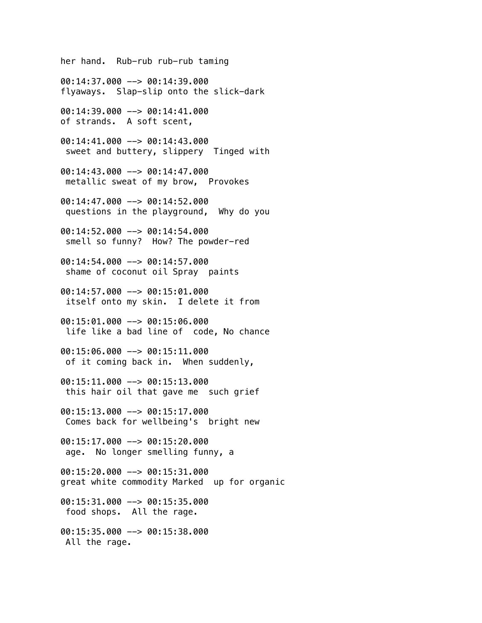her hand. Rub-rub rub-rub taming 00:14:37.000 --> 00:14:39.000 flyaways. Slap-slip onto the slick-dark 00:14:39.000 --> 00:14:41.000 of strands. A soft scent, 00:14:41.000 --> 00:14:43.000 sweet and buttery, slippery Tinged with 00:14:43.000 --> 00:14:47.000 metallic sweat of my brow, Provokes  $00:14:47.000$  -->  $00:14:52.000$  questions in the playground, Why do you 00:14:52.000 --> 00:14:54.000 smell so funny? How? The powder-red 00:14:54.000 --> 00:14:57.000 shame of coconut oil Spray paints 00:14:57.000 --> 00:15:01.000 itself onto my skin. I delete it from 00:15:01.000 --> 00:15:06.000 life like a bad line of code, No chance 00:15:06.000 --> 00:15:11.000 of it coming back in. When suddenly, 00:15:11.000 --> 00:15:13.000 this hair oil that gave me such grief 00:15:13.000 --> 00:15:17.000 Comes back for wellbeing's bright new 00:15:17.000 --> 00:15:20.000 age. No longer smelling funny, a 00:15:20.000 --> 00:15:31.000 great white commodity Marked up for organic 00:15:31.000 --> 00:15:35.000 food shops. All the rage. 00:15:35.000 --> 00:15:38.000 All the rage.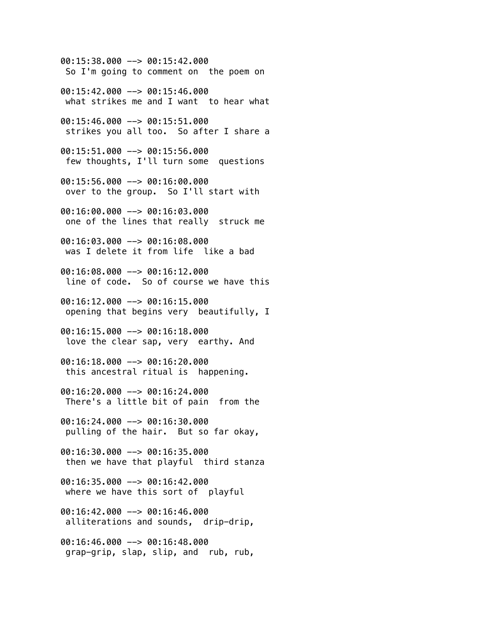00:15:38.000 --> 00:15:42.000 So I'm going to comment on the poem on 00:15:42.000 --> 00:15:46.000 what strikes me and I want to hear what 00:15:46.000 --> 00:15:51.000 strikes you all too. So after I share a 00:15:51.000 --> 00:15:56.000 few thoughts, I'll turn some questions 00:15:56.000 --> 00:16:00.000 over to the group. So I'll start with 00:16:00.000 --> 00:16:03.000 one of the lines that really struck me 00:16:03.000 --> 00:16:08.000 was I delete it from life like a bad 00:16:08.000 --> 00:16:12.000 line of code. So of course we have this 00:16:12.000 --> 00:16:15.000 opening that begins very beautifully, I 00:16:15.000 --> 00:16:18.000 love the clear sap, very earthy. And 00:16:18.000 --> 00:16:20.000 this ancestral ritual is happening. 00:16:20.000 --> 00:16:24.000 There's a little bit of pain from the 00:16:24.000 --> 00:16:30.000 pulling of the hair. But so far okay, 00:16:30.000 --> 00:16:35.000 then we have that playful third stanza 00:16:35.000 --> 00:16:42.000 where we have this sort of playful 00:16:42.000 --> 00:16:46.000 alliterations and sounds, drip-drip, 00:16:46.000 --> 00:16:48.000 grap-grip, slap, slip, and rub, rub,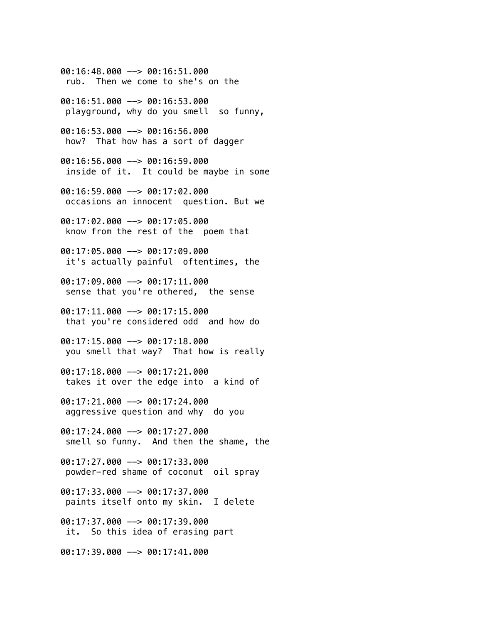00:16:48.000 --> 00:16:51.000 rub. Then we come to she's on the 00:16:51.000 --> 00:16:53.000 playground, why do you smell so funny, 00:16:53.000 --> 00:16:56.000 how? That how has a sort of dagger 00:16:56.000 --> 00:16:59.000 inside of it. It could be maybe in some 00:16:59.000 --> 00:17:02.000 occasions an innocent question. But we 00:17:02.000 --> 00:17:05.000 know from the rest of the poem that 00:17:05.000 --> 00:17:09.000 it's actually painful oftentimes, the 00:17:09.000 --> 00:17:11.000 sense that you're othered, the sense 00:17:11.000 --> 00:17:15.000 that you're considered odd and how do 00:17:15.000 --> 00:17:18.000 you smell that way? That how is really 00:17:18.000 --> 00:17:21.000 takes it over the edge into a kind of 00:17:21.000 --> 00:17:24.000 aggressive question and why do you 00:17:24.000 --> 00:17:27.000 smell so funny. And then the shame, the 00:17:27.000 --> 00:17:33.000 powder-red shame of coconut oil spray 00:17:33.000 --> 00:17:37.000 paints itself onto my skin. I delete 00:17:37.000 --> 00:17:39.000 it. So this idea of erasing part 00:17:39.000 --> 00:17:41.000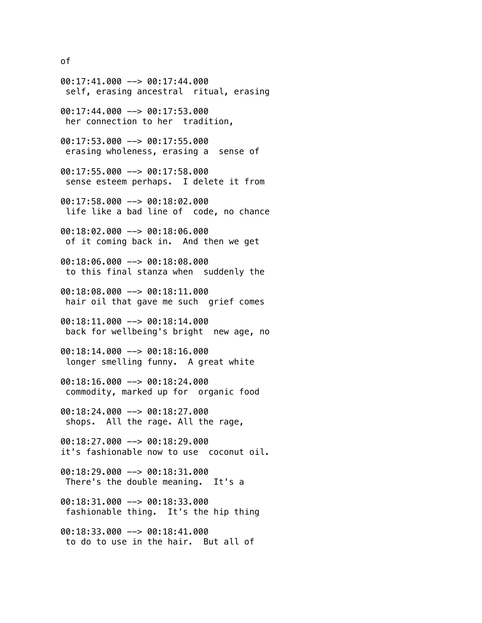of

00:17:41.000 --> 00:17:44.000 self, erasing ancestral ritual, erasing 00:17:44.000 --> 00:17:53.000 her connection to her tradition, 00:17:53.000 --> 00:17:55.000 erasing wholeness, erasing a sense of 00:17:55.000 --> 00:17:58.000 sense esteem perhaps. I delete it from 00:17:58.000 --> 00:18:02.000 life like a bad line of code, no chance 00:18:02.000 --> 00:18:06.000 of it coming back in. And then we get 00:18:06.000 --> 00:18:08.000 to this final stanza when suddenly the 00:18:08.000 --> 00:18:11.000 hair oil that gave me such grief comes  $00:18:11.000$  -->  $00:18:14.000$  back for wellbeing's bright new age, no 00:18:14.000 --> 00:18:16.000 longer smelling funny. A great white 00:18:16.000 --> 00:18:24.000 commodity, marked up for organic food 00:18:24.000 --> 00:18:27.000 shops. All the rage. All the rage, 00:18:27.000 --> 00:18:29.000 it's fashionable now to use coconut oil. 00:18:29.000 --> 00:18:31.000 There's the double meaning. It's a 00:18:31.000 --> 00:18:33.000 fashionable thing. It's the hip thing 00:18:33.000 --> 00:18:41.000 to do to use in the hair. But all of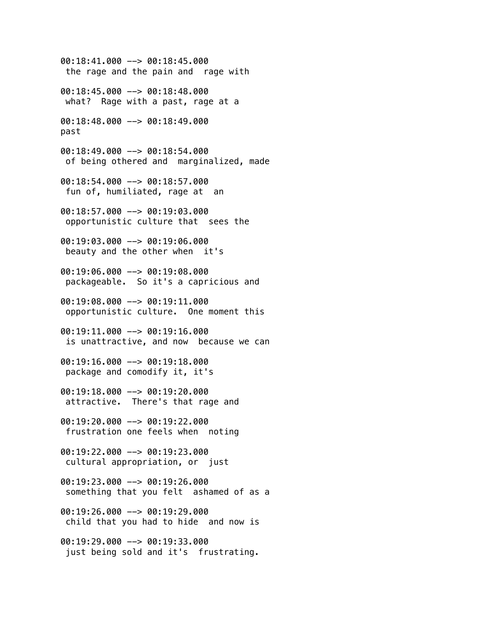00:18:41.000 --> 00:18:45.000 the rage and the pain and rage with 00:18:45.000 --> 00:18:48.000 what? Rage with a past, rage at a 00:18:48.000 --> 00:18:49.000 past 00:18:49.000 --> 00:18:54.000 of being othered and marginalized, made 00:18:54.000 --> 00:18:57.000 fun of, humiliated, rage at an 00:18:57.000 --> 00:19:03.000 opportunistic culture that sees the 00:19:03.000 --> 00:19:06.000 beauty and the other when it's 00:19:06.000 --> 00:19:08.000 packageable. So it's a capricious and 00:19:08.000 --> 00:19:11.000 opportunistic culture. One moment this  $00:19:11.000$  -->  $00:19:16.000$  is unattractive, and now because we can 00:19:16.000 --> 00:19:18.000 package and comodify it, it's 00:19:18.000 --> 00:19:20.000 attractive. There's that rage and 00:19:20.000 --> 00:19:22.000 frustration one feels when noting 00:19:22.000 --> 00:19:23.000 cultural appropriation, or just  $00:19:23.000$  -->  $00:19:26.000$  something that you felt ashamed of as a 00:19:26.000 --> 00:19:29.000 child that you had to hide and now is 00:19:29.000 --> 00:19:33.000 just being sold and it's frustrating.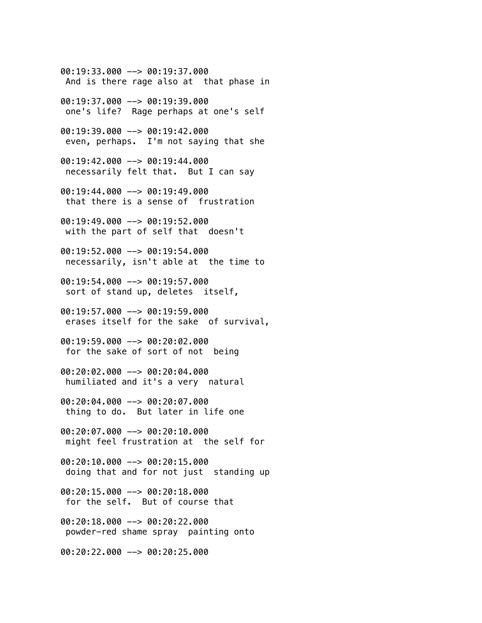$00:19:33.000$  -->  $00:19:37.000$  And is there rage also at that phase in 00:19:37.000 --> 00:19:39.000 one's life? Rage perhaps at one's self 00:19:39.000 --> 00:19:42.000 even, perhaps. I'm not saying that she 00:19:42.000 --> 00:19:44.000 necessarily felt that. But I can say 00:19:44.000 --> 00:19:49.000 that there is a sense of frustration 00:19:49.000 --> 00:19:52.000 with the part of self that doesn't 00:19:52.000 --> 00:19:54.000 necessarily, isn't able at the time to 00:19:54.000 --> 00:19:57.000 sort of stand up, deletes itself, 00:19:57.000 --> 00:19:59.000 erases itself for the sake of survival, 00:19:59.000 --> 00:20:02.000 for the sake of sort of not being 00:20:02.000 --> 00:20:04.000 humiliated and it's a very natural 00:20:04.000 --> 00:20:07.000 thing to do. But later in life one 00:20:07.000 --> 00:20:10.000 might feel frustration at the self for 00:20:10.000 --> 00:20:15.000 doing that and for not just standing up 00:20:15.000 --> 00:20:18.000 for the self. But of course that 00:20:18.000 --> 00:20:22.000 powder-red shame spray painting onto 00:20:22.000 --> 00:20:25.000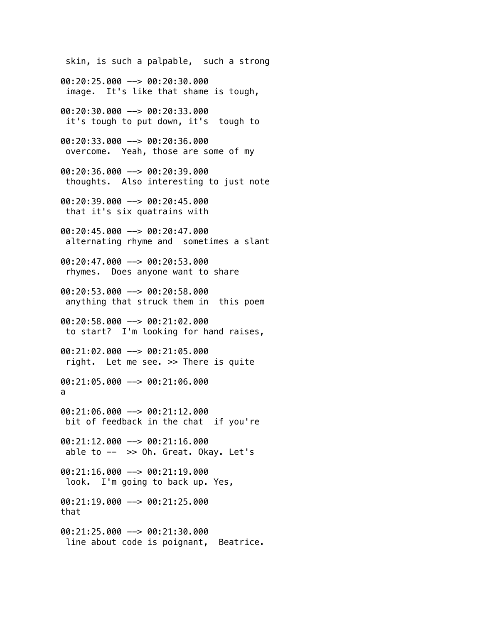skin, is such a palpable, such a strong

00:20:25.000 --> 00:20:30.000 image. It's like that shame is tough,

00:20:30.000 --> 00:20:33.000 it's tough to put down, it's tough to

00:20:33.000 --> 00:20:36.000 overcome. Yeah, those are some of my

00:20:36.000 --> 00:20:39.000 thoughts. Also interesting to just note

00:20:39.000 --> 00:20:45.000 that it's six quatrains with

00:20:45.000 --> 00:20:47.000 alternating rhyme and sometimes a slant

00:20:47.000 --> 00:20:53.000 rhymes. Does anyone want to share

00:20:53.000 --> 00:20:58.000 anything that struck them in this poem

00:20:58.000 --> 00:21:02.000 to start? I'm looking for hand raises,

00:21:02.000 --> 00:21:05.000 right. Let me see. >> There is quite

00:21:05.000 --> 00:21:06.000 a

00:21:06.000 --> 00:21:12.000 bit of feedback in the chat if you're

00:21:12.000 --> 00:21:16.000 able to  $- \gg$  Oh. Great. Okay. Let's

00:21:16.000 --> 00:21:19.000 look. I'm going to back up. Yes, 00:21:19.000 --> 00:21:25.000

that

00:21:25.000 --> 00:21:30.000 line about code is poignant, Beatrice.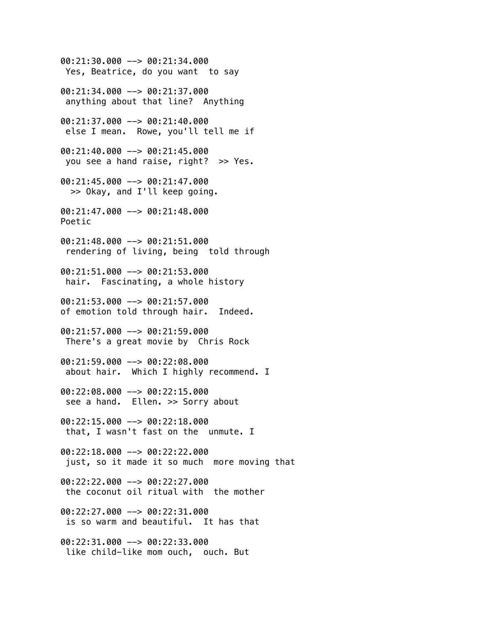00:21:30.000 --> 00:21:34.000 Yes, Beatrice, do you want to say 00:21:34.000 --> 00:21:37.000 anything about that line? Anything 00:21:37.000 --> 00:21:40.000 else I mean. Rowe, you'll tell me if 00:21:40.000 --> 00:21:45.000 you see a hand raise, right? >> Yes. 00:21:45.000 --> 00:21:47.000 >> Okay, and I'll keep going. 00:21:47.000 --> 00:21:48.000 Poetic 00:21:48.000 --> 00:21:51.000 rendering of living, being told through 00:21:51.000 --> 00:21:53.000 hair. Fascinating, a whole history 00:21:53.000 --> 00:21:57.000 of emotion told through hair. Indeed. 00:21:57.000 --> 00:21:59.000 There's a great movie by Chris Rock 00:21:59.000 --> 00:22:08.000 about hair. Which I highly recommend. I 00:22:08.000 --> 00:22:15.000 see a hand. Ellen. >> Sorry about 00:22:15.000 --> 00:22:18.000 that, I wasn't fast on the unmute. I 00:22:18.000 --> 00:22:22.000 just, so it made it so much more moving that 00:22:22.000 --> 00:22:27.000 the coconut oil ritual with the mother 00:22:27.000 --> 00:22:31.000 is so warm and beautiful. It has that 00:22:31.000 --> 00:22:33.000 like child-like mom ouch, ouch. But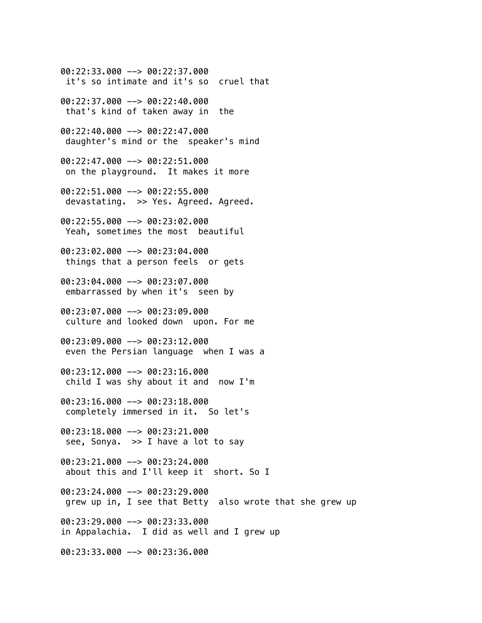00:22:33.000 --> 00:22:37.000 it's so intimate and it's so cruel that 00:22:37.000 --> 00:22:40.000 that's kind of taken away in the 00:22:40.000 --> 00:22:47.000 daughter's mind or the speaker's mind 00:22:47.000 --> 00:22:51.000 on the playground. It makes it more 00:22:51.000 --> 00:22:55.000 devastating. >> Yes. Agreed. Agreed. 00:22:55.000 --> 00:23:02.000 Yeah, sometimes the most beautiful 00:23:02.000 --> 00:23:04.000 things that a person feels or gets 00:23:04.000 --> 00:23:07.000 embarrassed by when it's seen by 00:23:07.000 --> 00:23:09.000 culture and looked down upon. For me 00:23:09.000 --> 00:23:12.000 even the Persian language when I was a 00:23:12.000 --> 00:23:16.000 child I was shy about it and now I'm 00:23:16.000 --> 00:23:18.000 completely immersed in it. So let's 00:23:18.000 --> 00:23:21.000 see, Sonya. >> I have a lot to say 00:23:21.000 --> 00:23:24.000 about this and I'll keep it short. So I 00:23:24.000 --> 00:23:29.000 grew up in, I see that Betty also wrote that she grew up 00:23:29.000 --> 00:23:33.000 in Appalachia. I did as well and I grew up 00:23:33.000 --> 00:23:36.000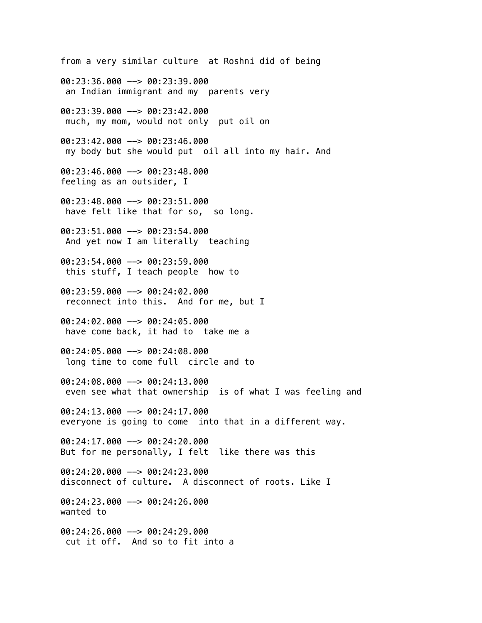from a very similar culture at Roshni did of being 00:23:36.000 --> 00:23:39.000 an Indian immigrant and my parents very 00:23:39.000 --> 00:23:42.000 much, my mom, would not only put oil on 00:23:42.000 --> 00:23:46.000 my body but she would put oil all into my hair. And 00:23:46.000 --> 00:23:48.000 feeling as an outsider, I 00:23:48.000 --> 00:23:51.000 have felt like that for so, so long. 00:23:51.000 --> 00:23:54.000 And yet now I am literally teaching 00:23:54.000 --> 00:23:59.000 this stuff, I teach people how to 00:23:59.000 --> 00:24:02.000 reconnect into this. And for me, but I 00:24:02.000 --> 00:24:05.000 have come back, it had to take me a 00:24:05.000 --> 00:24:08.000 long time to come full circle and to 00:24:08.000 --> 00:24:13.000 even see what that ownership is of what I was feeling and 00:24:13.000 --> 00:24:17.000 everyone is going to come into that in a different way. 00:24:17.000 --> 00:24:20.000 But for me personally, I felt like there was this 00:24:20.000 --> 00:24:23.000 disconnect of culture. A disconnect of roots. Like I 00:24:23.000 --> 00:24:26.000 wanted to 00:24:26.000 --> 00:24:29.000 cut it off. And so to fit into a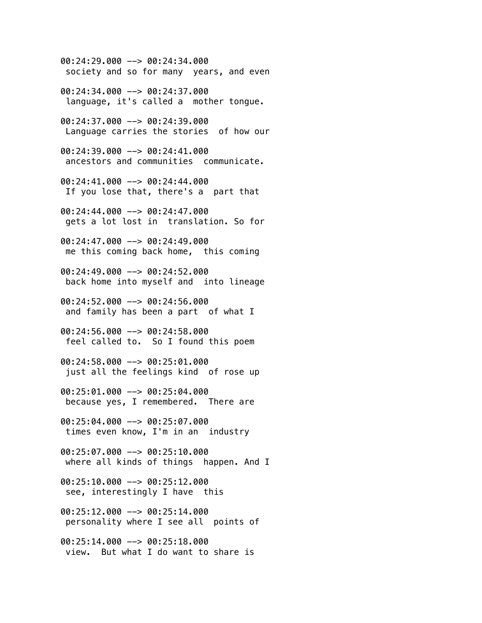00:24:29.000 --> 00:24:34.000 society and so for many years, and even

00:24:34.000 --> 00:24:37.000 language, it's called a mother tongue.

00:24:37.000 --> 00:24:39.000 Language carries the stories of how our

00:24:39.000 --> 00:24:41.000 ancestors and communities communicate.

00:24:41.000 --> 00:24:44.000 If you lose that, there's a part that

00:24:44.000 --> 00:24:47.000 gets a lot lost in translation. So for

00:24:47.000 --> 00:24:49.000 me this coming back home, this coming

00:24:49.000 --> 00:24:52.000 back home into myself and into lineage

00:24:52.000 --> 00:24:56.000 and family has been a part of what I

00:24:56.000 --> 00:24:58.000 feel called to. So I found this poem

00:24:58.000 --> 00:25:01.000 just all the feelings kind of rose up

00:25:01.000 --> 00:25:04.000 because yes, I remembered. There are

00:25:04.000 --> 00:25:07.000 times even know, I'm in an industry

00:25:07.000 --> 00:25:10.000 where all kinds of things happen. And I

00:25:10.000 --> 00:25:12.000 see, interestingly I have this

00:25:12.000 --> 00:25:14.000 personality where I see all points of

00:25:14.000 --> 00:25:18.000 view. But what I do want to share is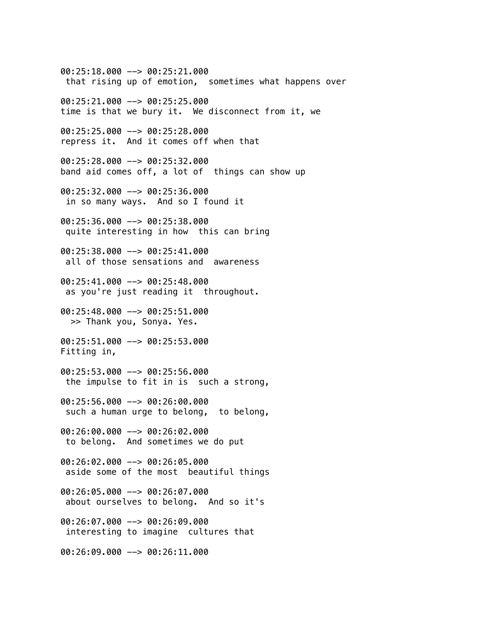00:25:18.000 --> 00:25:21.000 that rising up of emotion, sometimes what happens over 00:25:21.000 --> 00:25:25.000 time is that we bury it. We disconnect from it, we 00:25:25.000 --> 00:25:28.000 repress it. And it comes off when that 00:25:28.000 --> 00:25:32.000 band aid comes off, a lot of things can show up 00:25:32.000 --> 00:25:36.000 in so many ways. And so I found it 00:25:36.000 --> 00:25:38.000 quite interesting in how this can bring 00:25:38.000 --> 00:25:41.000 all of those sensations and awareness 00:25:41.000 --> 00:25:48.000 as you're just reading it throughout. 00:25:48.000 --> 00:25:51.000 >> Thank you, Sonya. Yes. 00:25:51.000 --> 00:25:53.000 Fitting in, 00:25:53.000 --> 00:25:56.000 the impulse to fit in is such a strong, 00:25:56.000 --> 00:26:00.000 such a human urge to belong, to belong, 00:26:00.000 --> 00:26:02.000 to belong. And sometimes we do put 00:26:02.000 --> 00:26:05.000 aside some of the most beautiful things 00:26:05.000 --> 00:26:07.000 about ourselves to belong. And so it's 00:26:07.000 --> 00:26:09.000 interesting to imagine cultures that 00:26:09.000 --> 00:26:11.000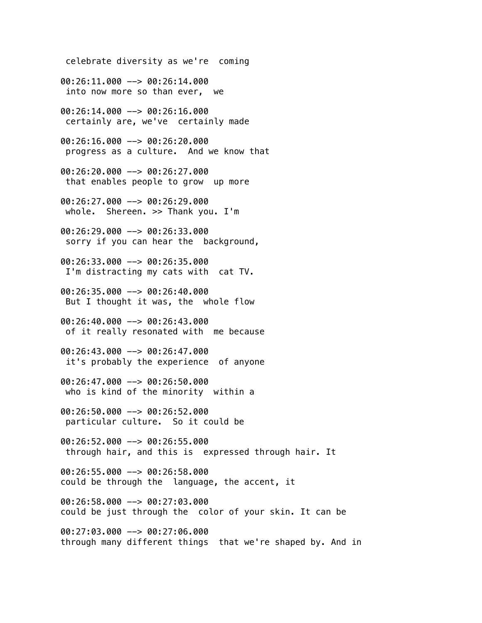celebrate diversity as we're coming 00:26:11.000 --> 00:26:14.000 into now more so than ever, we 00:26:14.000 --> 00:26:16.000 certainly are, we've certainly made 00:26:16.000 --> 00:26:20.000 progress as a culture. And we know that 00:26:20.000 --> 00:26:27.000 that enables people to grow up more 00:26:27.000 --> 00:26:29.000 whole. Shereen. >> Thank you. I'm 00:26:29.000 --> 00:26:33.000 sorry if you can hear the background, 00:26:33.000 --> 00:26:35.000 I'm distracting my cats with cat TV. 00:26:35.000 --> 00:26:40.000 But I thought it was, the whole flow 00:26:40.000 --> 00:26:43.000 of it really resonated with me because 00:26:43.000 --> 00:26:47.000 it's probably the experience of anyone 00:26:47.000 --> 00:26:50.000 who is kind of the minority within a 00:26:50.000 --> 00:26:52.000 particular culture. So it could be 00:26:52.000 --> 00:26:55.000 through hair, and this is expressed through hair. It 00:26:55.000 --> 00:26:58.000 could be through the language, the accent, it 00:26:58.000 --> 00:27:03.000 could be just through the color of your skin. It can be 00:27:03.000 --> 00:27:06.000 through many different things that we're shaped by. And in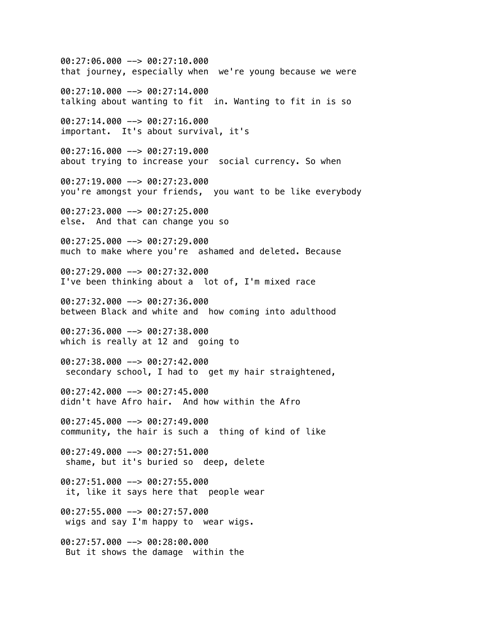00:27:06.000 --> 00:27:10.000 that journey, especially when we're young because we were 00:27:10.000 --> 00:27:14.000 talking about wanting to fit in. Wanting to fit in is so 00:27:14.000 --> 00:27:16.000 important. It's about survival, it's 00:27:16.000 --> 00:27:19.000 about trying to increase your social currency. So when 00:27:19.000 --> 00:27:23.000 you're amongst your friends, you want to be like everybody 00:27:23.000 --> 00:27:25.000 else. And that can change you so 00:27:25.000 --> 00:27:29.000 much to make where you're ashamed and deleted. Because 00:27:29.000 --> 00:27:32.000 I've been thinking about a lot of, I'm mixed race 00:27:32.000 --> 00:27:36.000 between Black and white and how coming into adulthood 00:27:36.000 --> 00:27:38.000 which is really at 12 and going to 00:27:38.000 --> 00:27:42.000 secondary school, I had to get my hair straightened, 00:27:42.000 --> 00:27:45.000 didn't have Afro hair. And how within the Afro 00:27:45.000 --> 00:27:49.000 community, the hair is such a thing of kind of like 00:27:49.000 --> 00:27:51.000 shame, but it's buried so deep, delete 00:27:51.000 --> 00:27:55.000 it, like it says here that people wear 00:27:55.000 --> 00:27:57.000 wigs and say I'm happy to wear wigs. 00:27:57.000 --> 00:28:00.000 But it shows the damage within the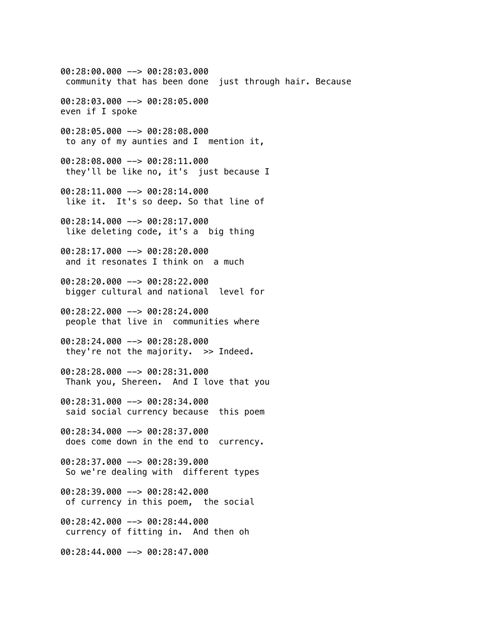00:28:00.000 --> 00:28:03.000 community that has been done just through hair. Because 00:28:03.000 --> 00:28:05.000 even if I spoke 00:28:05.000 --> 00:28:08.000 to any of my aunties and I mention it, 00:28:08.000 --> 00:28:11.000 they'll be like no, it's just because I 00:28:11.000 --> 00:28:14.000 like it. It's so deep. So that line of 00:28:14.000 --> 00:28:17.000 like deleting code, it's a big thing 00:28:17.000 --> 00:28:20.000 and it resonates I think on a much 00:28:20.000 --> 00:28:22.000 bigger cultural and national level for 00:28:22.000 --> 00:28:24.000 people that live in communities where 00:28:24.000 --> 00:28:28.000 they're not the majority. >> Indeed. 00:28:28.000 --> 00:28:31.000 Thank you, Shereen. And I love that you 00:28:31.000 --> 00:28:34.000 said social currency because this poem 00:28:34.000 --> 00:28:37.000 does come down in the end to currency. 00:28:37.000 --> 00:28:39.000 So we're dealing with different types 00:28:39.000 --> 00:28:42.000 of currency in this poem, the social 00:28:42.000 --> 00:28:44.000 currency of fitting in. And then oh 00:28:44.000 --> 00:28:47.000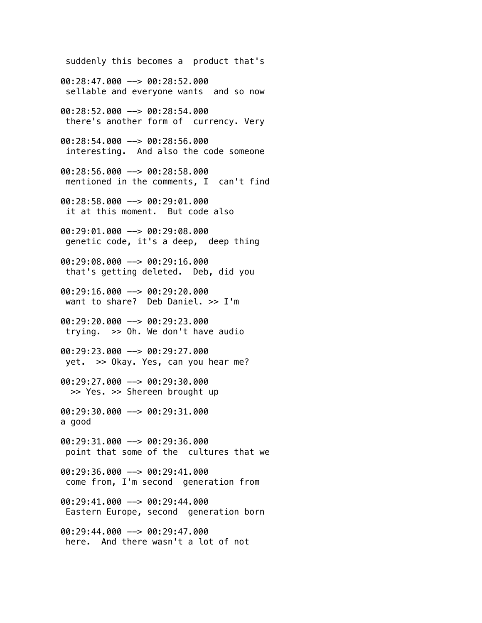suddenly this becomes a product that's 00:28:47.000 --> 00:28:52.000 sellable and everyone wants and so now 00:28:52.000 --> 00:28:54.000 there's another form of currency. Very 00:28:54.000 --> 00:28:56.000 interesting. And also the code someone 00:28:56.000 --> 00:28:58.000 mentioned in the comments, I can't find 00:28:58.000 --> 00:29:01.000 it at this moment. But code also 00:29:01.000 --> 00:29:08.000 genetic code, it's a deep, deep thing 00:29:08.000 --> 00:29:16.000 that's getting deleted. Deb, did you 00:29:16.000 --> 00:29:20.000 want to share? Deb Daniel. >> I'm 00:29:20.000 --> 00:29:23.000 trying. >> Oh. We don't have audio 00:29:23.000 --> 00:29:27.000 yet. >> Okay. Yes, can you hear me? 00:29:27.000 --> 00:29:30.000 >> Yes. >> Shereen brought up 00:29:30.000 --> 00:29:31.000 a good 00:29:31.000 --> 00:29:36.000 point that some of the cultures that we 00:29:36.000 --> 00:29:41.000 come from, I'm second generation from 00:29:41.000 --> 00:29:44.000 Eastern Europe, second generation born 00:29:44.000 --> 00:29:47.000

here. And there wasn't a lot of not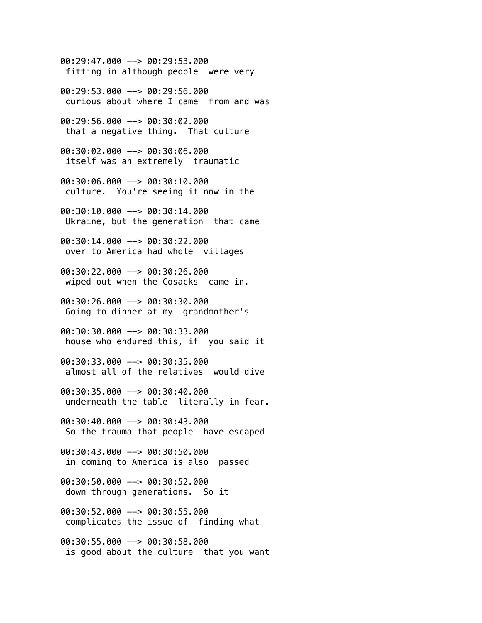00:29:47.000 --> 00:29:53.000 fitting in although people were very

00:29:53.000 --> 00:29:56.000 curious about where I came from and was

00:29:56.000 --> 00:30:02.000 that a negative thing. That culture

00:30:02.000 --> 00:30:06.000 itself was an extremely traumatic

00:30:06.000 --> 00:30:10.000 culture. You're seeing it now in the

00:30:10.000 --> 00:30:14.000 Ukraine, but the generation that came

00:30:14.000 --> 00:30:22.000 over to America had whole villages

00:30:22.000 --> 00:30:26.000 wiped out when the Cosacks came in.

00:30:26.000 --> 00:30:30.000 Going to dinner at my grandmother's

00:30:30.000 --> 00:30:33.000 house who endured this, if you said it

00:30:33.000 --> 00:30:35.000 almost all of the relatives would dive

00:30:35.000 --> 00:30:40.000 underneath the table literally in fear.

00:30:40.000 --> 00:30:43.000 So the trauma that people have escaped

00:30:43.000 --> 00:30:50.000 in coming to America is also passed

00:30:50.000 --> 00:30:52.000 down through generations. So it

00:30:52.000 --> 00:30:55.000 complicates the issue of finding what

00:30:55.000 --> 00:30:58.000 is good about the culture that you want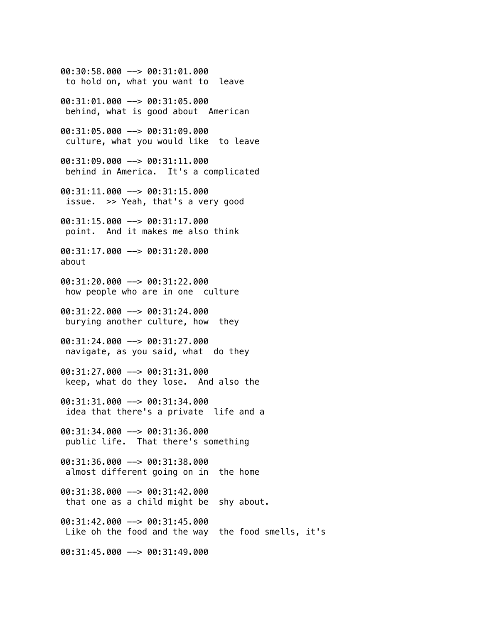00:30:58.000 --> 00:31:01.000 to hold on, what you want to leave 00:31:01.000 --> 00:31:05.000 behind, what is good about American 00:31:05.000 --> 00:31:09.000 culture, what you would like to leave 00:31:09.000 --> 00:31:11.000 behind in America. It's a complicated 00:31:11.000 --> 00:31:15.000 issue. >> Yeah, that's a very good 00:31:15.000 --> 00:31:17.000 point. And it makes me also think 00:31:17.000 --> 00:31:20.000 about 00:31:20.000 --> 00:31:22.000 how people who are in one culture 00:31:22.000 --> 00:31:24.000 burying another culture, how they 00:31:24.000 --> 00:31:27.000 navigate, as you said, what do they 00:31:27.000 --> 00:31:31.000 keep, what do they lose. And also the 00:31:31.000 --> 00:31:34.000 idea that there's a private life and a 00:31:34.000 --> 00:31:36.000 public life. That there's something 00:31:36.000 --> 00:31:38.000 almost different going on in the home 00:31:38.000 --> 00:31:42.000 that one as a child might be shy about. 00:31:42.000 --> 00:31:45.000 Like oh the food and the way the food smells, it's 00:31:45.000 --> 00:31:49.000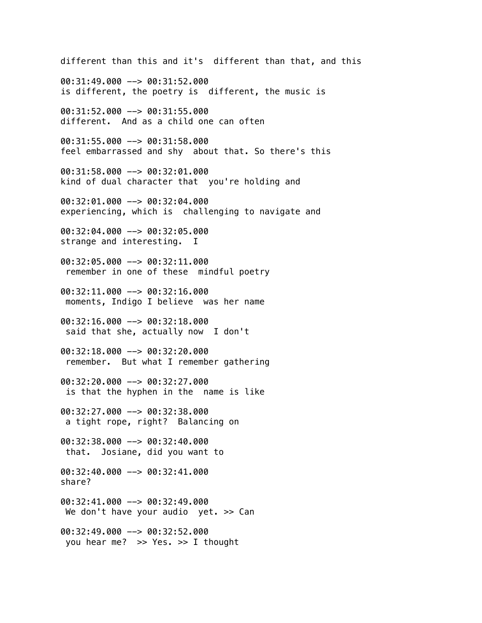different than this and it's different than that, and this 00:31:49.000 --> 00:31:52.000 is different, the poetry is different, the music is 00:31:52.000 --> 00:31:55.000 different. And as a child one can often 00:31:55.000 --> 00:31:58.000 feel embarrassed and shy about that. So there's this 00:31:58.000 --> 00:32:01.000 kind of dual character that you're holding and 00:32:01.000 --> 00:32:04.000 experiencing, which is challenging to navigate and 00:32:04.000 --> 00:32:05.000 strange and interesting. I 00:32:05.000 --> 00:32:11.000 remember in one of these mindful poetry  $00:32:11.000$  -->  $00:32:16.000$  moments, Indigo I believe was her name 00:32:16.000 --> 00:32:18.000 said that she, actually now I don't 00:32:18.000 --> 00:32:20.000 remember. But what I remember gathering 00:32:20.000 --> 00:32:27.000 is that the hyphen in the name is like 00:32:27.000 --> 00:32:38.000 a tight rope, right? Balancing on 00:32:38.000 --> 00:32:40.000 that. Josiane, did you want to 00:32:40.000 --> 00:32:41.000 share? 00:32:41.000 --> 00:32:49.000 We don't have your audio yet. > Can 00:32:49.000 --> 00:32:52.000 you hear me? >> Yes. >> I thought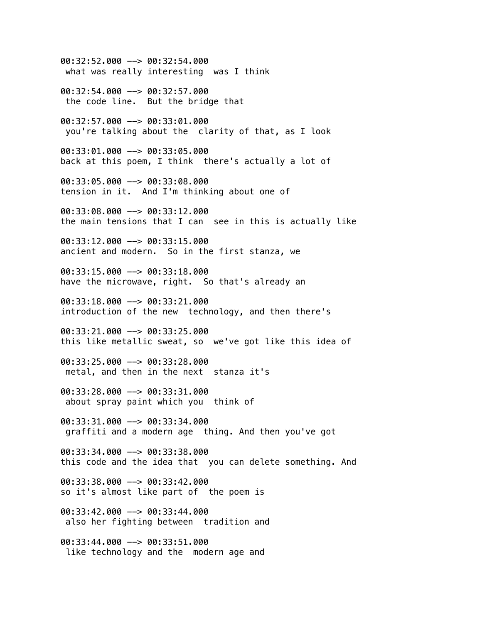00:32:52.000 --> 00:32:54.000 what was really interesting was I think 00:32:54.000 --> 00:32:57.000 the code line. But the bridge that 00:32:57.000 --> 00:33:01.000 you're talking about the clarity of that, as I look 00:33:01.000 --> 00:33:05.000 back at this poem, I think there's actually a lot of 00:33:05.000 --> 00:33:08.000 tension in it. And I'm thinking about one of 00:33:08.000 --> 00:33:12.000 the main tensions that I can see in this is actually like 00:33:12.000 --> 00:33:15.000 ancient and modern. So in the first stanza, we 00:33:15.000 --> 00:33:18.000 have the microwave, right. So that's already an 00:33:18.000 --> 00:33:21.000 introduction of the new technology, and then there's 00:33:21.000 --> 00:33:25.000 this like metallic sweat, so we've got like this idea of 00:33:25.000 --> 00:33:28.000 metal, and then in the next stanza it's 00:33:28.000 --> 00:33:31.000 about spray paint which you think of 00:33:31.000 --> 00:33:34.000 graffiti and a modern age thing. And then you've got 00:33:34.000 --> 00:33:38.000 this code and the idea that you can delete something. And  $00:33:38.000$  -->  $00:33:42.000$ so it's almost like part of the poem is 00:33:42.000 --> 00:33:44.000 also her fighting between tradition and 00:33:44.000 --> 00:33:51.000 like technology and the modern age and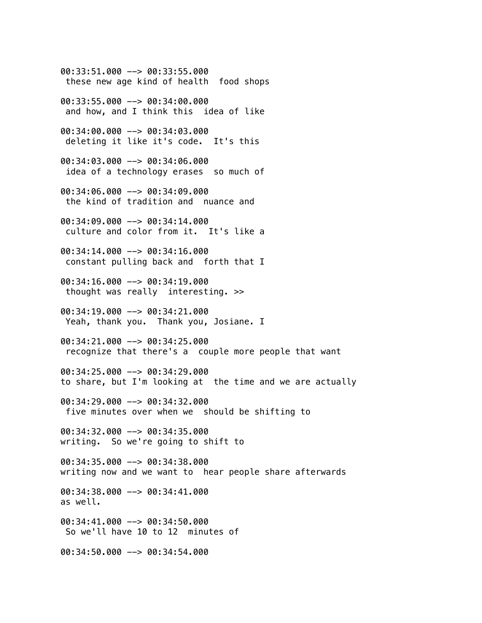00:33:51.000 --> 00:33:55.000 these new age kind of health food shops 00:33:55.000 --> 00:34:00.000 and how, and I think this idea of like 00:34:00.000 --> 00:34:03.000 deleting it like it's code. It's this 00:34:03.000 --> 00:34:06.000 idea of a technology erases so much of 00:34:06.000 --> 00:34:09.000 the kind of tradition and nuance and 00:34:09.000 --> 00:34:14.000 culture and color from it. It's like a 00:34:14.000 --> 00:34:16.000 constant pulling back and forth that I 00:34:16.000 --> 00:34:19.000 thought was really interesting. >> 00:34:19.000 --> 00:34:21.000 Yeah, thank you. Thank you, Josiane. I 00:34:21.000 --> 00:34:25.000 recognize that there's a couple more people that want 00:34:25.000 --> 00:34:29.000 to share, but I'm looking at the time and we are actually 00:34:29.000 --> 00:34:32.000 five minutes over when we should be shifting to 00:34:32.000 --> 00:34:35.000 writing. So we're going to shift to 00:34:35.000 --> 00:34:38.000 writing now and we want to hear people share afterwards 00:34:38.000 --> 00:34:41.000 as well. 00:34:41.000 --> 00:34:50.000 So we'll have 10 to 12 minutes of 00:34:50.000 --> 00:34:54.000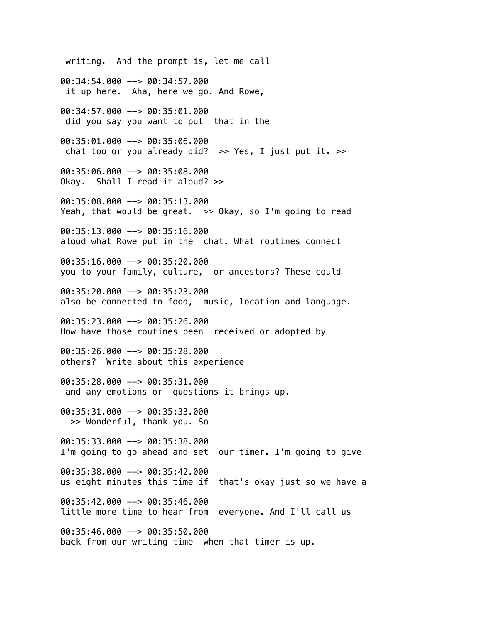writing. And the prompt is, let me call 00:34:54.000 --> 00:34:57.000 it up here. Aha, here we go. And Rowe, 00:34:57.000 --> 00:35:01.000 did you say you want to put that in the 00:35:01.000 --> 00:35:06.000 chat too or you already did?  $\gg$  Yes, I just put it.  $\gg$ 00:35:06.000 --> 00:35:08.000 Okay. Shall I read it aloud? >> 00:35:08.000 --> 00:35:13.000 Yeah, that would be great. >> Okay, so I'm going to read 00:35:13.000 --> 00:35:16.000 aloud what Rowe put in the chat. What routines connect 00:35:16.000 --> 00:35:20.000 you to your family, culture, or ancestors? These could 00:35:20.000 --> 00:35:23.000 also be connected to food, music, location and language. 00:35:23.000 --> 00:35:26.000 How have those routines been received or adopted by 00:35:26.000 --> 00:35:28.000 others? Write about this experience 00:35:28.000 --> 00:35:31.000 and any emotions or questions it brings up. 00:35:31.000 --> 00:35:33.000 >> Wonderful, thank you. So 00:35:33.000 --> 00:35:38.000 I'm going to go ahead and set our timer. I'm going to give 00:35:38.000 --> 00:35:42.000 us eight minutes this time if that's okay just so we have a 00:35:42.000 --> 00:35:46.000 little more time to hear from everyone. And I'll call us 00:35:46.000 --> 00:35:50.000 back from our writing time when that timer is up.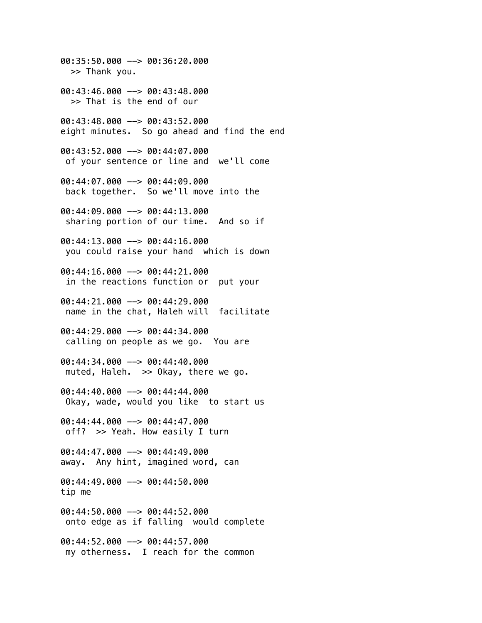00:35:50.000 --> 00:36:20.000 >> Thank you. 00:43:46.000 --> 00:43:48.000 >> That is the end of our 00:43:48.000 --> 00:43:52.000 eight minutes. So go ahead and find the end 00:43:52.000 --> 00:44:07.000 of your sentence or line and we'll come 00:44:07.000 --> 00:44:09.000 back together. So we'll move into the 00:44:09.000 --> 00:44:13.000 sharing portion of our time. And so if 00:44:13.000 --> 00:44:16.000 you could raise your hand which is down 00:44:16.000 --> 00:44:21.000 in the reactions function or put your  $0.44:21.000$   $\rightarrow$  00:44:29.000 name in the chat, Haleh will facilitate 00:44:29.000 --> 00:44:34.000 calling on people as we go. You are 00:44:34.000 --> 00:44:40.000 muted, Haleh. >> Okay, there we go. 00:44:40.000 --> 00:44:44.000 Okay, wade, would you like to start us 00:44:44.000 --> 00:44:47.000 off? >> Yeah. How easily I turn 00:44:47.000 --> 00:44:49.000 away. Any hint, imagined word, can 00:44:49.000 --> 00:44:50.000 tip me 00:44:50.000 --> 00:44:52.000 onto edge as if falling would complete 00:44:52.000 --> 00:44:57.000 my otherness. I reach for the common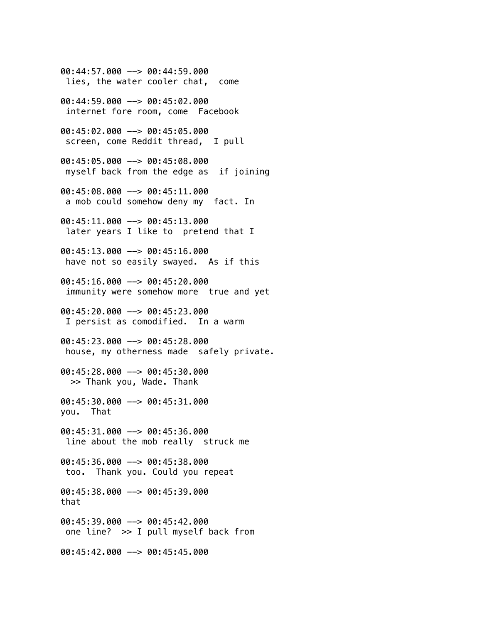00:44:57.000 --> 00:44:59.000 lies, the water cooler chat, come 00:44:59.000 --> 00:45:02.000 internet fore room, come Facebook 00:45:02.000 --> 00:45:05.000 screen, come Reddit thread, I pull 00:45:05.000 --> 00:45:08.000 myself back from the edge as if joining 00:45:08.000 --> 00:45:11.000 a mob could somehow deny my fact. In 00:45:11.000 --> 00:45:13.000 later years I like to pretend that I 00:45:13.000 --> 00:45:16.000 have not so easily swayed. As if this 00:45:16.000 --> 00:45:20.000 immunity were somehow more true and yet 00:45:20.000 --> 00:45:23.000 I persist as comodified. In a warm 00:45:23.000 --> 00:45:28.000 house, my otherness made safely private. 00:45:28.000 --> 00:45:30.000 >> Thank you, Wade. Thank 00:45:30.000 --> 00:45:31.000 you. That 00:45:31.000 --> 00:45:36.000 line about the mob really struck me 00:45:36.000 --> 00:45:38.000 too. Thank you. Could you repeat 00:45:38.000 --> 00:45:39.000 that 00:45:39.000 --> 00:45:42.000 one line? >> I pull myself back from 00:45:42.000 --> 00:45:45.000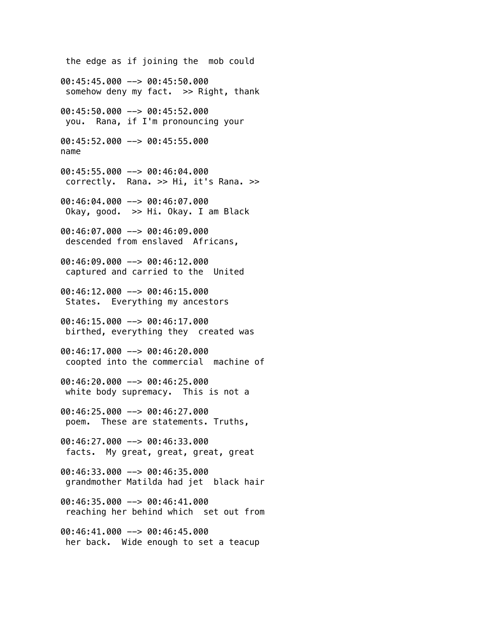the edge as if joining the mob could 00:45:45.000 --> 00:45:50.000 somehow deny my fact. >> Right, thank 00:45:50.000 --> 00:45:52.000 you. Rana, if I'm pronouncing your 00:45:52.000 --> 00:45:55.000 name 00:45:55.000 --> 00:46:04.000 correctly. Rana. >> Hi, it's Rana. >> 00:46:04.000 --> 00:46:07.000 Okay, good. >> Hi. Okay. I am Black 00:46:07.000 --> 00:46:09.000 descended from enslaved Africans, 00:46:09.000 --> 00:46:12.000 captured and carried to the United 00:46:12.000 --> 00:46:15.000 States. Everything my ancestors 00:46:15.000 --> 00:46:17.000 birthed, everything they created was 00:46:17.000 --> 00:46:20.000 coopted into the commercial machine of 00:46:20.000 --> 00:46:25.000 white body supremacy. This is not a 00:46:25.000 --> 00:46:27.000 poem. These are statements. Truths, 00:46:27.000 --> 00:46:33.000 facts. My great, great, great, great 00:46:33.000 --> 00:46:35.000 grandmother Matilda had jet black hair 00:46:35.000 --> 00:46:41.000 reaching her behind which set out from 00:46:41.000 --> 00:46:45.000 her back. Wide enough to set a teacup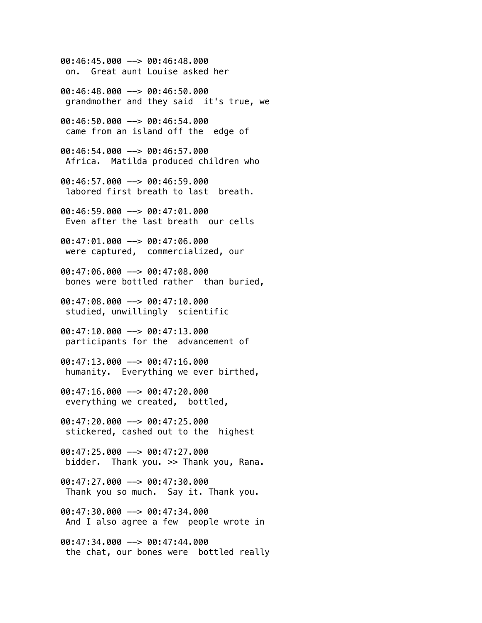00:46:45.000 --> 00:46:48.000 on. Great aunt Louise asked her

00:46:48.000 --> 00:46:50.000 grandmother and they said it's true, we

00:46:50.000 --> 00:46:54.000 came from an island off the edge of

00:46:54.000 --> 00:46:57.000 Africa. Matilda produced children who

00:46:57.000 --> 00:46:59.000 labored first breath to last breath.

00:46:59.000 --> 00:47:01.000 Even after the last breath our cells

00:47:01.000 --> 00:47:06.000 were captured, commercialized, our

00:47:06.000 --> 00:47:08.000 bones were bottled rather than buried,

00:47:08.000 --> 00:47:10.000 studied, unwillingly scientific

00:47:10.000 --> 00:47:13.000 participants for the advancement of

00:47:13.000 --> 00:47:16.000 humanity. Everything we ever birthed,

00:47:16.000 --> 00:47:20.000 everything we created, bottled,

 $00:47:20.000$  -->  $00:47:25.000$ stickered, cashed out to the highest

00:47:25.000 --> 00:47:27.000 bidder. Thank you. >> Thank you, Rana.

00:47:27.000 --> 00:47:30.000 Thank you so much. Say it. Thank you.

00:47:30.000 --> 00:47:34.000 And I also agree a few people wrote in

00:47:34.000 --> 00:47:44.000 the chat, our bones were bottled really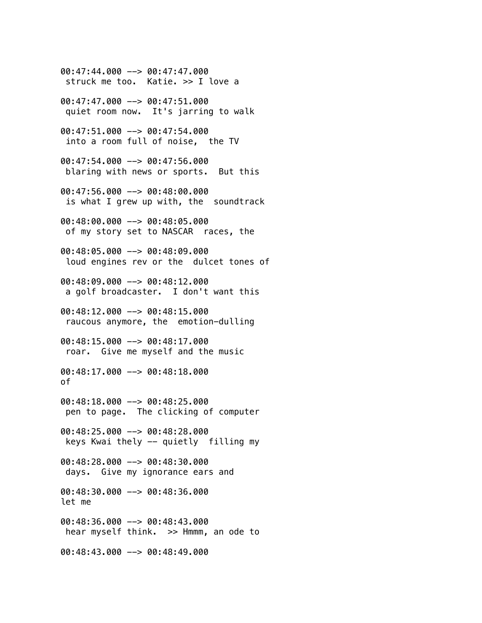00:47:44.000 --> 00:47:47.000 struck me too. Katie. >> I love a 00:47:47.000 --> 00:47:51.000 quiet room now. It's jarring to walk 00:47:51.000 --> 00:47:54.000 into a room full of noise, the TV 00:47:54.000 --> 00:47:56.000 blaring with news or sports. But this 00:47:56.000 --> 00:48:00.000 is what I grew up with, the soundtrack 00:48:00.000 --> 00:48:05.000 of my story set to NASCAR races, the 00:48:05.000 --> 00:48:09.000 loud engines rev or the dulcet tones of 00:48:09.000 --> 00:48:12.000 a golf broadcaster. I don't want this 00:48:12.000 --> 00:48:15.000 raucous anymore, the emotion-dulling 00:48:15.000 --> 00:48:17.000 roar. Give me myself and the music 00:48:17.000 --> 00:48:18.000 of 00:48:18.000 --> 00:48:25.000 pen to page. The clicking of computer 00:48:25.000 --> 00:48:28.000 keys Kwai thely -- quietly filling my 00:48:28.000 --> 00:48:30.000 days. Give my ignorance ears and 00:48:30.000 --> 00:48:36.000 let me 00:48:36.000 --> 00:48:43.000 hear myself think. >> Hmmm, an ode to 00:48:43.000 --> 00:48:49.000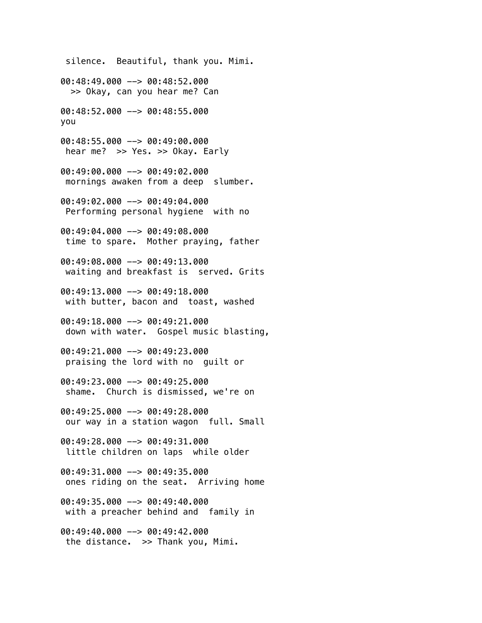silence. Beautiful, thank you. Mimi. 00:48:49.000 --> 00:48:52.000 >> Okay, can you hear me? Can 00:48:52.000 --> 00:48:55.000 you 00:48:55.000 --> 00:49:00.000 hear me? >> Yes. >> Okay. Early 00:49:00.000 --> 00:49:02.000 mornings awaken from a deep slumber. 00:49:02.000 --> 00:49:04.000 Performing personal hygiene with no 00:49:04.000 --> 00:49:08.000 time to spare. Mother praying, father 00:49:08.000 --> 00:49:13.000 waiting and breakfast is served. Grits 00:49:13.000 --> 00:49:18.000 with butter, bacon and toast, washed 00:49:18.000 --> 00:49:21.000 down with water. Gospel music blasting, 00:49:21.000 --> 00:49:23.000 praising the lord with no guilt or 00:49:23.000 --> 00:49:25.000 shame. Church is dismissed, we're on 00:49:25.000 --> 00:49:28.000 our way in a station wagon full. Small 00:49:28.000 --> 00:49:31.000 little children on laps while older 00:49:31.000 --> 00:49:35.000 ones riding on the seat. Arriving home 00:49:35.000 --> 00:49:40.000 with a preacher behind and family in 00:49:40.000 --> 00:49:42.000 the distance. >> Thank you, Mimi.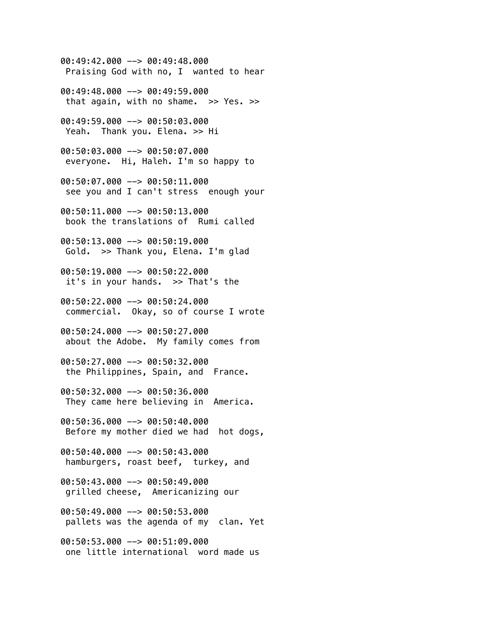00:49:42.000 --> 00:49:48.000 Praising God with no, I wanted to hear

00:49:48.000 --> 00:49:59.000 that again, with no shame.  $>> Yes.$ 

00:49:59.000 --> 00:50:03.000 Yeah. Thank you. Elena. >> Hi

00:50:03.000 --> 00:50:07.000 everyone. Hi, Haleh. I'm so happy to

00:50:07.000 --> 00:50:11.000 see you and I can't stress enough your

00:50:11.000 --> 00:50:13.000 book the translations of Rumi called

00:50:13.000 --> 00:50:19.000 Gold. >> Thank you, Elena. I'm glad

00:50:19.000 --> 00:50:22.000 it's in your hands. >> That's the

00:50:22.000 --> 00:50:24.000 commercial. Okay, so of course I wrote

00:50:24.000 --> 00:50:27.000 about the Adobe. My family comes from

00:50:27.000 --> 00:50:32.000 the Philippines, Spain, and France.

00:50:32.000 --> 00:50:36.000 They came here believing in America.

00:50:36.000 --> 00:50:40.000 Before my mother died we had hot dogs,

00:50:40.000 --> 00:50:43.000 hamburgers, roast beef, turkey, and

00:50:43.000 --> 00:50:49.000 grilled cheese, Americanizing our

00:50:49.000 --> 00:50:53.000 pallets was the agenda of my clan. Yet

00:50:53.000 --> 00:51:09.000 one little international word made us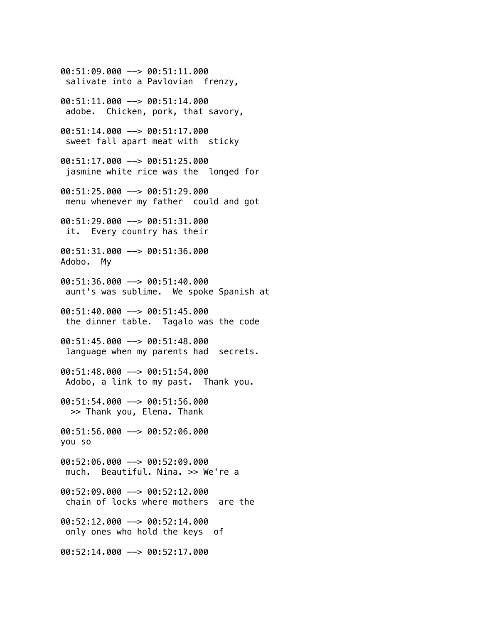00:51:09.000 --> 00:51:11.000 salivate into a Pavlovian frenzy, 00:51:11.000 --> 00:51:14.000 adobe. Chicken, pork, that savory, 00:51:14.000 --> 00:51:17.000 sweet fall apart meat with sticky 00:51:17.000 --> 00:51:25.000 jasmine white rice was the longed for 00:51:25.000 --> 00:51:29.000 menu whenever my father could and got 00:51:29.000 --> 00:51:31.000 it. Every country has their 00:51:31.000 --> 00:51:36.000 Adobo. My 00:51:36.000 --> 00:51:40.000 aunt's was sublime. We spoke Spanish at 00:51:40.000 --> 00:51:45.000 the dinner table. Tagalo was the code 00:51:45.000 --> 00:51:48.000 language when my parents had secrets. 00:51:48.000 --> 00:51:54.000 Adobo, a link to my past. Thank you. 00:51:54.000 --> 00:51:56.000 >> Thank you, Elena. Thank 00:51:56.000 --> 00:52:06.000 you so 00:52:06.000 --> 00:52:09.000 much. Beautiful. Nina. >> We're a 00:52:09.000 --> 00:52:12.000 chain of locks where mothers are the 00:52:12.000 --> 00:52:14.000 only ones who hold the keys of 00:52:14.000 --> 00:52:17.000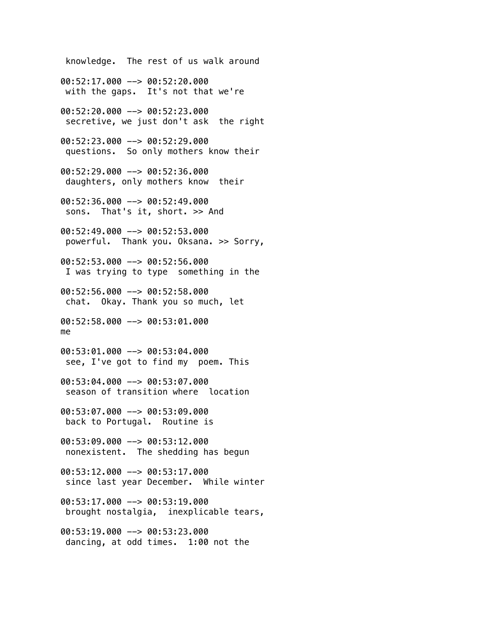knowledge. The rest of us walk around 00:52:17.000 --> 00:52:20.000 with the gaps. It's not that we're 00:52:20.000 --> 00:52:23.000 secretive, we just don't ask the right 00:52:23.000 --> 00:52:29.000 questions. So only mothers know their 00:52:29.000 --> 00:52:36.000 daughters, only mothers know their 00:52:36.000 --> 00:52:49.000 sons. That's it, short. >> And 00:52:49.000 --> 00:52:53.000 powerful. Thank you. Oksana. >> Sorry, 00:52:53.000 --> 00:52:56.000 I was trying to type something in the 00:52:56.000 --> 00:52:58.000 chat. Okay. Thank you so much, let 00:52:58.000 --> 00:53:01.000 me 00:53:01.000 --> 00:53:04.000 see, I've got to find my poem. This 00:53:04.000 --> 00:53:07.000 season of transition where location 00:53:07.000 --> 00:53:09.000 back to Portugal. Routine is 00:53:09.000 --> 00:53:12.000 nonexistent. The shedding has begun 00:53:12.000 --> 00:53:17.000 since last year December. While winter 00:53:17.000 --> 00:53:19.000 brought nostalgia, inexplicable tears, 00:53:19.000 --> 00:53:23.000 dancing, at odd times. 1:00 not the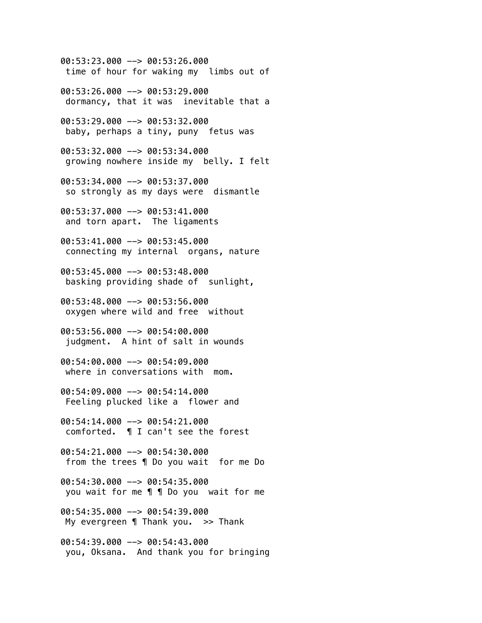00:53:23.000 --> 00:53:26.000 time of hour for waking my limbs out of

00:53:26.000 --> 00:53:29.000 dormancy, that it was inevitable that a

00:53:29.000 --> 00:53:32.000 baby, perhaps a tiny, puny fetus was

00:53:32.000 --> 00:53:34.000 growing nowhere inside my belly. I felt

00:53:34.000 --> 00:53:37.000 so strongly as my days were dismantle

00:53:37.000 --> 00:53:41.000 and torn apart. The ligaments

00:53:41.000 --> 00:53:45.000 connecting my internal organs, nature

00:53:45.000 --> 00:53:48.000 basking providing shade of sunlight,

 $00:53:48.000$   $\rightarrow$  00:53:56.000 oxygen where wild and free without

00:53:56.000 --> 00:54:00.000 judgment. A hint of salt in wounds

00:54:00.000 --> 00:54:09.000 where in conversations with mom.

00:54:09.000 --> 00:54:14.000 Feeling plucked like a flower and

00:54:14.000 --> 00:54:21.000 comforted. ¶ I can't see the forest

00:54:21.000 --> 00:54:30.000 from the trees ¶ Do you wait for me Do

 $00:54:30.000$  -->  $00:54:35.000$ you wait for me ¶ ¶ Do you wait for me

00:54:35.000 --> 00:54:39.000 My evergreen  $\P$  Thank you. >> Thank

00:54:39.000 --> 00:54:43.000 you, Oksana. And thank you for bringing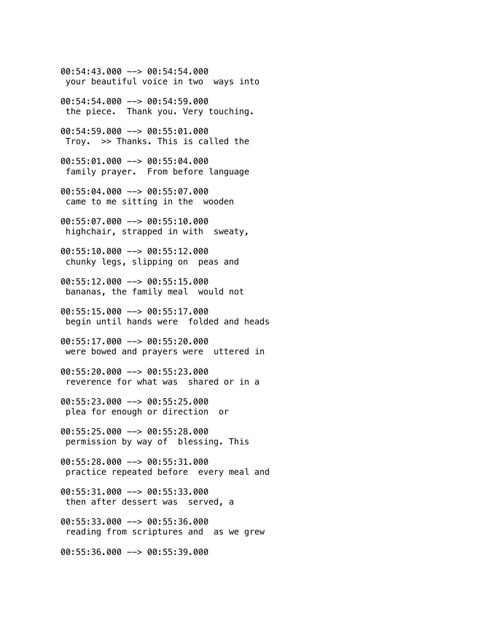00:54:43.000 --> 00:54:54.000 your beautiful voice in two ways into

00:54:54.000 --> 00:54:59.000 the piece. Thank you. Very touching.

 $00:54:59.000$  -->  $00:55:01.000$ Troy. >> Thanks. This is called the

00:55:01.000 --> 00:55:04.000 family prayer. From before language

00:55:04.000 --> 00:55:07.000 came to me sitting in the wooden

00:55:07.000 --> 00:55:10.000 highchair, strapped in with sweaty,

00:55:10.000 --> 00:55:12.000 chunky legs, slipping on peas and

00:55:12.000 --> 00:55:15.000 bananas, the family meal would not

00:55:15.000 --> 00:55:17.000 begin until hands were folded and heads

00:55:17.000 --> 00:55:20.000 were bowed and prayers were uttered in

00:55:20.000 --> 00:55:23.000 reverence for what was shared or in a

00:55:23.000 --> 00:55:25.000 plea for enough or direction or

00:55:25.000 --> 00:55:28.000 permission by way of blessing. This

00:55:28.000 --> 00:55:31.000 practice repeated before every meal and

00:55:31.000 --> 00:55:33.000 then after dessert was served, a

00:55:33.000 --> 00:55:36.000 reading from scriptures and as we grew

00:55:36.000 --> 00:55:39.000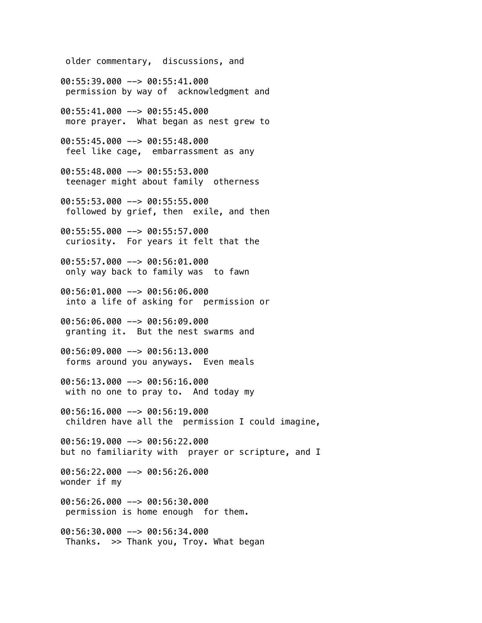older commentary, discussions, and

00:55:39.000 --> 00:55:41.000 permission by way of acknowledgment and

00:55:41.000 --> 00:55:45.000 more prayer. What began as nest grew to

00:55:45.000 --> 00:55:48.000 feel like cage, embarrassment as any

00:55:48.000 --> 00:55:53.000 teenager might about family otherness

00:55:53.000 --> 00:55:55.000 followed by grief, then exile, and then

00:55:55.000 --> 00:55:57.000 curiosity. For years it felt that the

00:55:57.000 --> 00:56:01.000 only way back to family was to fawn

00:56:01.000 --> 00:56:06.000 into a life of asking for permission or

00:56:06.000 --> 00:56:09.000 granting it. But the nest swarms and

00:56:09.000 --> 00:56:13.000 forms around you anyways. Even meals

00:56:13.000 --> 00:56:16.000 with no one to pray to. And today my

00:56:16.000 --> 00:56:19.000 children have all the permission I could imagine,

00:56:19.000 --> 00:56:22.000 but no familiarity with prayer or scripture, and I

00:56:22.000 --> 00:56:26.000 wonder if my

00:56:26.000 --> 00:56:30.000 permission is home enough for them.

00:56:30.000 --> 00:56:34.000 Thanks. >> Thank you, Troy. What began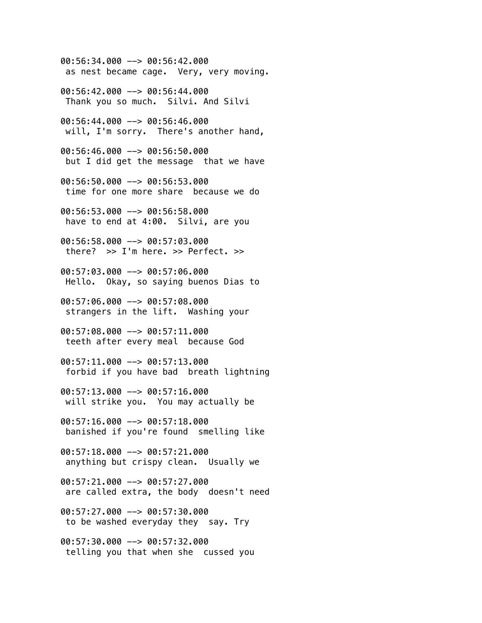00:56:34.000 --> 00:56:42.000 as nest became cage. Very, very moving.

00:56:42.000 --> 00:56:44.000 Thank you so much. Silvi. And Silvi

00:56:44.000 --> 00:56:46.000 will, I'm sorry. There's another hand,

00:56:46.000 --> 00:56:50.000 but I did get the message that we have

00:56:50.000 --> 00:56:53.000 time for one more share because we do

00:56:53.000 --> 00:56:58.000 have to end at 4:00. Silvi, are you

00:56:58.000 --> 00:57:03.000 there?  $>> I'm here. >> Perfect. >>$ 

00:57:03.000 --> 00:57:06.000 Hello. Okay, so saying buenos Dias to

00:57:06.000 --> 00:57:08.000 strangers in the lift. Washing your

00:57:08.000 --> 00:57:11.000 teeth after every meal because God

00:57:11.000 --> 00:57:13.000 forbid if you have bad breath lightning

00:57:13.000 --> 00:57:16.000 will strike you. You may actually be

00:57:16.000 --> 00:57:18.000 banished if you're found smelling like

00:57:18.000 --> 00:57:21.000 anything but crispy clean. Usually we

 $00:57:21.000$  -->  $00:57:27.000$ are called extra, the body doesn't need

00:57:27.000 --> 00:57:30.000 to be washed everyday they say. Try

00:57:30.000 --> 00:57:32.000 telling you that when she cussed you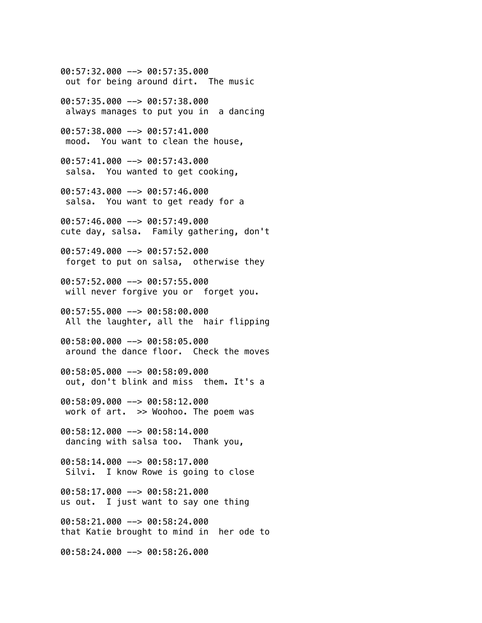00:57:32.000 --> 00:57:35.000 out for being around dirt. The music

00:57:35.000 --> 00:57:38.000 always manages to put you in a dancing

00:57:38.000 --> 00:57:41.000 mood. You want to clean the house,

00:57:41.000 --> 00:57:43.000 salsa. You wanted to get cooking,

00:57:43.000 --> 00:57:46.000 salsa. You want to get ready for a

00:57:46.000 --> 00:57:49.000 cute day, salsa. Family gathering, don't

00:57:49.000 --> 00:57:52.000 forget to put on salsa, otherwise they

00:57:52.000 --> 00:57:55.000 will never forgive you or forget you.

00:57:55.000 --> 00:58:00.000 All the laughter, all the hair flipping

00:58:00.000 --> 00:58:05.000 around the dance floor. Check the moves

00:58:05.000 --> 00:58:09.000 out, don't blink and miss them. It's a

00:58:09.000 --> 00:58:12.000 work of art. >> Woohoo. The poem was

00:58:12.000 --> 00:58:14.000 dancing with salsa too. Thank you,

00:58:14.000 --> 00:58:17.000 Silvi. I know Rowe is going to close

00:58:17.000 --> 00:58:21.000 us out. I just want to say one thing

00:58:21.000 --> 00:58:24.000 that Katie brought to mind in her ode to

00:58:24.000 --> 00:58:26.000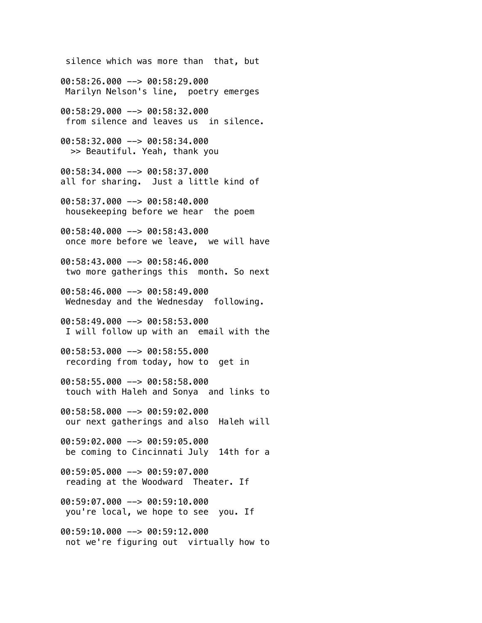silence which was more than that, but 00:58:26.000 --> 00:58:29.000 Marilyn Nelson's line, poetry emerges 00:58:29.000 --> 00:58:32.000 from silence and leaves us in silence. 00:58:32.000 --> 00:58:34.000 >> Beautiful. Yeah, thank you 00:58:34.000 --> 00:58:37.000 all for sharing. Just a little kind of 00:58:37.000 --> 00:58:40.000 housekeeping before we hear the poem 00:58:40.000 --> 00:58:43.000 once more before we leave, we will have 00:58:43.000 --> 00:58:46.000 two more gatherings this month. So next 00:58:46.000 --> 00:58:49.000 Wednesday and the Wednesday following. 00:58:49.000 --> 00:58:53.000 I will follow up with an email with the 00:58:53.000 --> 00:58:55.000 recording from today, how to get in 00:58:55.000 --> 00:58:58.000 touch with Haleh and Sonya and links to 00:58:58.000 --> 00:59:02.000 our next gatherings and also Haleh will 00:59:02.000 --> 00:59:05.000 be coming to Cincinnati July 14th for a 00:59:05.000 --> 00:59:07.000 reading at the Woodward Theater. If 00:59:07.000 --> 00:59:10.000 you're local, we hope to see you. If 00:59:10.000 --> 00:59:12.000 not we're figuring out virtually how to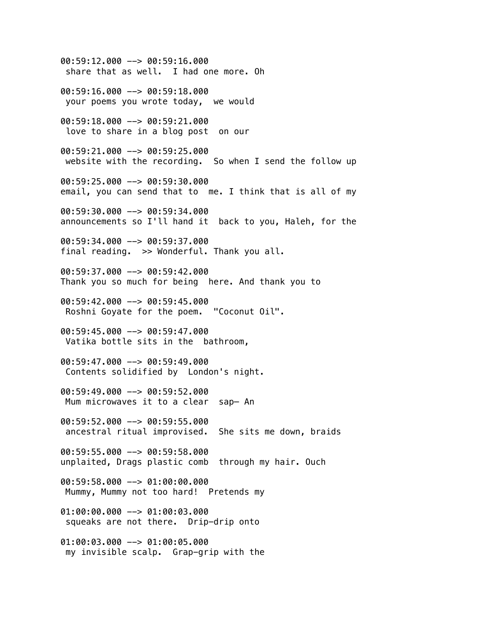00:59:12.000 --> 00:59:16.000 share that as well. I had one more. Oh 00:59:16.000 --> 00:59:18.000 your poems you wrote today, we would 00:59:18.000 --> 00:59:21.000 love to share in a blog post on our 00:59:21.000 --> 00:59:25.000 website with the recording. So when I send the follow up 00:59:25.000 --> 00:59:30.000 email, you can send that to me. I think that is all of my 00:59:30.000 --> 00:59:34.000 announcements so I'll hand it back to you, Haleh, for the 00:59:34.000 --> 00:59:37.000 final reading. >> Wonderful. Thank you all. 00:59:37.000 --> 00:59:42.000 Thank you so much for being here. And thank you to 00:59:42.000 --> 00:59:45.000 Roshni Goyate for the poem. "Coconut Oil". 00:59:45.000 --> 00:59:47.000 Vatika bottle sits in the bathroom, 00:59:47.000 --> 00:59:49.000 Contents solidified by London's night. 00:59:49.000 --> 00:59:52.000 Mum microwaves it to a clear sap— An  $00:59:52.000$  -->  $00:59:55.000$  ancestral ritual improvised. She sits me down, braids 00:59:55.000 --> 00:59:58.000 unplaited, Drags plastic comb through my hair. Ouch 00:59:58.000 --> 01:00:00.000 Mummy, Mummy not too hard! Pretends my 01:00:00.000 --> 01:00:03.000 squeaks are not there. Drip-drip onto 01:00:03.000 --> 01:00:05.000 my invisible scalp. Grap-grip with the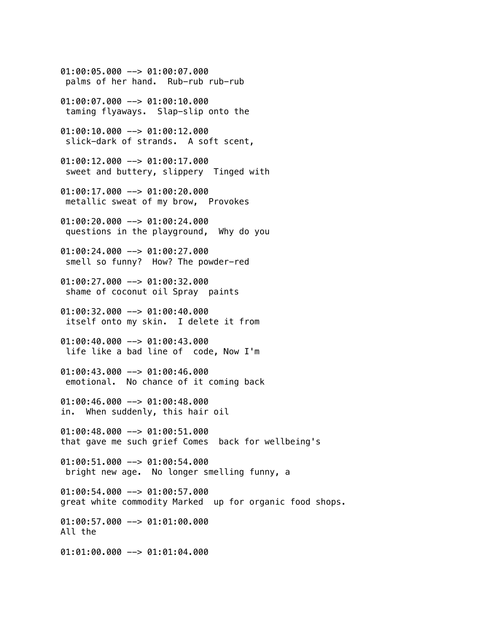palms of her hand. Rub-rub rub-rub 01:00:07.000 --> 01:00:10.000 taming flyaways. Slap-slip onto the 01:00:10.000 --> 01:00:12.000 slick-dark of strands. A soft scent, 01:00:12.000 --> 01:00:17.000 sweet and buttery, slippery Tinged with 01:00:17.000 --> 01:00:20.000 metallic sweat of my brow, Provokes 01:00:20.000 --> 01:00:24.000 questions in the playground, Why do you 01:00:24.000 --> 01:00:27.000 smell so funny? How? The powder-red 01:00:27.000 --> 01:00:32.000 shame of coconut oil Spray paints 01:00:32.000 --> 01:00:40.000 itself onto my skin. I delete it from 01:00:40.000 --> 01:00:43.000 life like a bad line of code, Now I'm 01:00:43.000 --> 01:00:46.000 emotional. No chance of it coming back 01:00:46.000 --> 01:00:48.000 in. When suddenly, this hair oil 01:00:48.000 --> 01:00:51.000 that gave me such grief Comes back for wellbeing's 01:00:51.000 --> 01:00:54.000 bright new age. No longer smelling funny, a 01:00:54.000 --> 01:00:57.000 great white commodity Marked up for organic food shops. 01:00:57.000 --> 01:01:00.000 All the 01:01:00.000 --> 01:01:04.000

01:00:05.000 --> 01:00:07.000